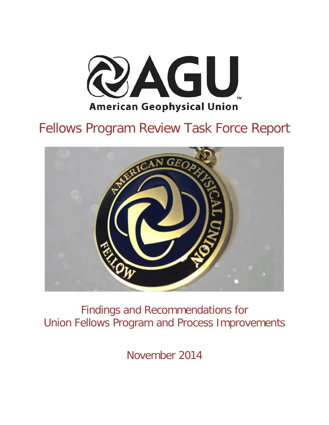

# Fellows Program Review Task Force Report



Findings and Recommendations for Union Fellows Program and Process Improvements

November 2014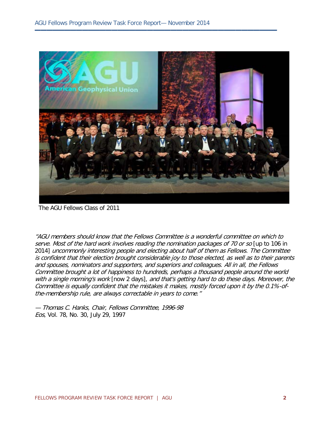

**▬▬▬▬▬▬▬▬▬▬▬▬▬▬▬▬▬▬▬▬▬▬▬▬▬▬▬▬▬▬▬▬▬▬▬▬▬▬▬▬▬**

The AGU Fellows Class of 2011

"AGU members should know that the Fellows Committee is a wonderful committee on which to serve. Most of the hard work involves reading the nomination packages of 70 or so [up to 106 in 2014] uncommonly interesting people and electing about half of them as Fellows. The Committee is confident that their election brought considerable joy to those elected, as well as to their parents and spouses, nominators and supporters, and superiors and colleagues. All in all, the Fellows Committee brought a lot of happiness to hundreds, perhaps a thousand people around the world with a single morning's work [now 2 days], and that's getting hard to do these days. Moreover, the Committee is equally confident that the mistakes it makes, mostly forced upon it by the 0.1%-ofthe-membership rule, are always correctable in years to come."

— Thomas C. Hanks, Chair, Fellows Committee, 1996-98 Eos, Vol. 78, No. 30, July 29, 1997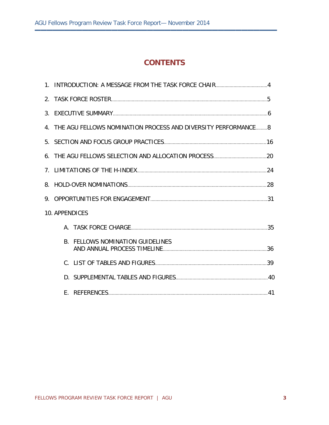### **CONTENTS**

**▬▬▬▬▬▬▬▬▬▬▬▬▬▬▬▬▬▬▬▬▬▬▬▬▬▬▬▬▬▬▬▬▬▬▬▬▬▬▬▬▬**

|                | 4. THE AGU FELLOWS NOMINATION PROCESS AND DIVERSITY PERFORMANCE 8 |  |
|----------------|-------------------------------------------------------------------|--|
|                |                                                                   |  |
|                |                                                                   |  |
|                |                                                                   |  |
|                |                                                                   |  |
|                |                                                                   |  |
| 10. APPENDICES |                                                                   |  |
|                |                                                                   |  |
|                | <b>B. FELLOWS NOMINATION GUIDELINES</b>                           |  |
|                |                                                                   |  |
|                |                                                                   |  |
| F.             |                                                                   |  |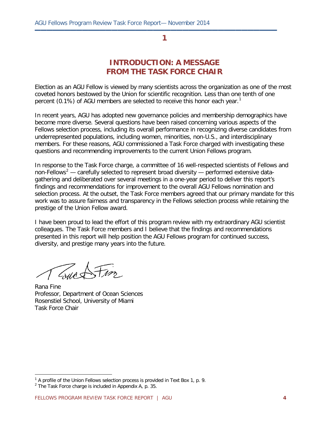**▬▬▬▬▬▬▬▬▬▬▬▬▬▬▬▬▬▬▬▬▬▬▬▬▬▬▬▬▬▬▬▬▬▬▬▬▬▬▬▬▬**

### **INTRODUCTION: A MESSAGE FROM THE TASK FORCE CHAIR**

Election as an AGU Fellow is viewed by many scientists across the organization as one of the most coveted honors bestowed by the Union for scientific recognition. Less than one tenth of one percent (0.[1](#page-3-0)%) of AGU members are selected to receive this honor each year.<sup>1</sup>

In recent years, AGU has adopted new governance policies and membership demographics have become more diverse. Several questions have been raised concerning various aspects of the Fellows selection process, including its overall performance in recognizing diverse candidates from underrepresented populations, including women, minorities, non-U.S., and interdisciplinary members. For these reasons, AGU commissioned a Task Force charged with investigating these questions and recommending improvements to the current Union Fellows program.

In response to the Task Force charge, a committee of 16 well-respected scientists of Fellows and non-Fellows<sup>[2](#page-3-1)</sup> — carefully selected to represent broad diversity — performed extensive datagathering and deliberated over several meetings in a one-year period to deliver this report's findings and recommendations for improvement to the overall AGU Fellows nomination and selection process. At the outset, the Task Force members agreed that our primary mandate for this work was to assure fairness and transparency in the Fellows selection process while retaining the prestige of the Union Fellow award.

I have been proud to lead the effort of this program review with my extraordinary AGU scientist colleagues. The Task Force members and I believe that the findings and recommendations presented in this report will help position the AGU Fellows program for continued success, diversity, and prestige many years into the future.

Grup S

Rana Fine Professor, Department of Ocean Sciences Rosenstiel School, University of Miami Task Force Chair

<span id="page-3-0"></span> $1$  A profile of the Union Fellows selection process is provided in Text Box 1, p. 9.

<span id="page-3-1"></span> $2$  The Task Force charge is included in Appendix A, p. 35.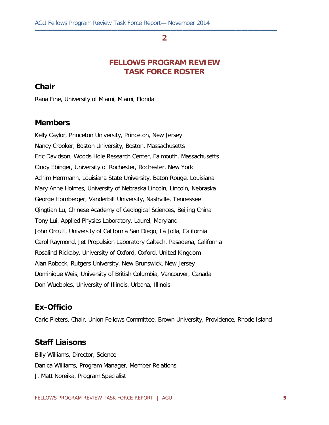**▬▬▬▬▬▬▬▬▬▬▬▬▬▬▬▬▬▬▬▬▬▬▬▬▬▬▬▬▬▬▬▬▬▬▬▬▬▬▬▬▬**

### **FELLOWS PROGRAM REVIEW TASK FORCE ROSTER**

### **Chair**

Rana Fine, University of Miami, Miami, Florida

#### **Members**

Kelly Caylor, Princeton University, Princeton, New Jersey Nancy Crooker, Boston University, Boston, Massachusetts Eric Davidson, Woods Hole Research Center, Falmouth, Massachusetts Cindy Ebinger, University of Rochester, Rochester, New York Achim Herrmann, Louisiana State University, Baton Rouge, Louisiana Mary Anne Holmes, University of Nebraska Lincoln, Lincoln, Nebraska George Hornberger, Vanderbilt University, Nashville, Tennessee Qingtian Lu, Chinese Academy of Geological Sciences, Beijing China Tony Lui, Applied Physics Laboratory, Laurel, Maryland John Orcutt, University of California San Diego, La Jolla, California Carol Raymond, Jet Propulsion Laboratory Caltech, Pasadena, California Rosalind Rickaby, University of Oxford, Oxford, United Kingdom Alan Robock, Rutgers University, New Brunswick, New Jersey Dominique Weis, University of British Columbia, Vancouver, Canada Don Wuebbles, University of Illinois, Urbana, Illinois

### **Ex-Officio**

Carle Pieters, Chair, Union Fellows Committee, Brown University, Providence, Rhode Island

### **Staff Liaisons**

Billy Williams, Director, Science Danica Williams, Program Manager, Member Relations J. Matt Noreika, Program Specialist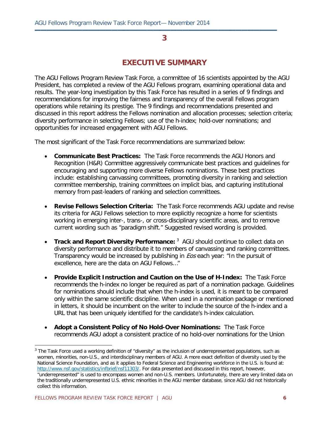**▬▬▬▬▬▬▬▬▬▬▬▬▬▬▬▬▬▬▬▬▬▬▬▬▬▬▬▬▬▬▬▬▬▬▬▬▬▬▬▬▬**

### **EXECUTIVE SUMMARY**

The AGU Fellows Program Review Task Force, a committee of 16 scientists appointed by the AGU President, has completed a review of the AGU Fellows program, examining operational data and results. The year-long investigation by this Task Force has resulted in a series of 9 findings and recommendations for improving the fairness and transparency of the overall Fellows program operations while retaining its prestige. The 9 findings and recommendations presented and discussed in this report address the Fellows nomination and allocation processes; selection criteria; diversity performance in selecting Fellows; use of the h-index; hold-over nominations; and opportunities for increased engagement with AGU Fellows.

The most significant of the Task Force recommendations are summarized below:

- **Communicate Best Practices:** The Task Force recommends the AGU Honors and Recognition (H&R) Committee aggressively communicate best practices and guidelines for encouraging and supporting more diverse Fellows nominations. These best practices include: establishing canvassing committees, promoting diversity in ranking and selection committee membership, training committees on implicit bias, and capturing institutional memory from past-leaders of ranking and selection committees.
- **Revise Fellows Selection Criteria:** The Task Force recommends AGU update and revise its criteria for AGU Fellows selection to more explicitly recognize a home for scientists working in emerging inter-, trans-, or cross-disciplinary scientific areas, and to remove current wording such as "paradigm shift." Suggested revised wording is provided.
- Track and Report Diversity Performance: <sup>[3](#page-5-0)</sup> AGU should continue to collect data on diversity performance and distribute it to members of canvassing and ranking committees. Transparency would be increased by publishing in *Eos* each year: "In the pursuit of excellence, here are the data on AGU Fellows…"
- **Provide Explicit Instruction and Caution on the Use of H-Index:** The Task Force recommends the h-index no longer be required as part of a nomination package. Guidelines for nominations should include that when the h-index is used, it is meant to be compared only within the same scientific discipline. When used in a nomination package or mentioned in letters, it should be incumbent on the writer to include the source of the h-index and a URL that has been uniquely identified for the candidate's h-index calculation.
- **Adopt a Consistent Policy of No Hold-Over Nominations:** The Task Force recommends AGU adopt a consistent practice of no hold-over nominations for the Union

<span id="page-5-0"></span> $3$  The Task Force used a working definition of "diversity" as the inclusion of underrepresented populations, such as women, minorities, non-U.S., and interdisciplinary members of AGU. A more exact definition of diversity used by the National Science Foundation, and as it applies to Federal Science and Engineering workforce in the U.S. is found at: [http://www.nsf.gov/statistics/infbrief/nsf11303/.](http://www.nsf.gov/statistics/infbrief/nsf11303/) For data presented and discussed in this report, however, "underrepresented" is used to encompass women and non-U.S. members. Unfortunately, there are very limited data on the traditionally underrepresented U.S. ethnic minorities in the AGU member database, since AGU did not historically collect this information.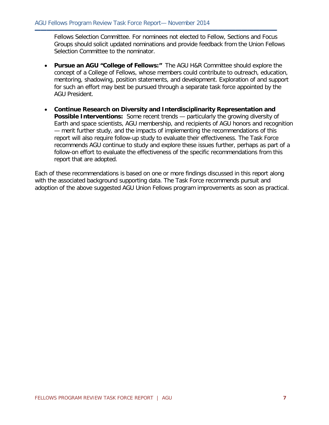Fellows Selection Committee. For nominees not elected to Fellow, Sections and Focus Groups should solicit updated nominations and provide feedback from the Union Fellows Selection Committee to the nominator.

**▬▬▬▬▬▬▬▬▬▬▬▬▬▬▬▬▬▬▬▬▬▬▬▬▬▬▬▬▬▬▬▬▬▬▬▬▬▬▬▬▬**

- **Pursue an AGU "College of Fellows:"** The AGU H&R Committee should explore the concept of a College of Fellows, whose members could contribute to outreach, education, mentoring, shadowing, position statements, and development. Exploration of and support for such an effort may best be pursued through a separate task force appointed by the AGU President.
- **Continue Research on Diversity and Interdisciplinarity Representation and Possible Interventions:** Some recent trends — particularly the growing diversity of Earth and space scientists, AGU membership, and recipients of AGU honors and recognition — merit further study, and the impacts of implementing the recommendations of this report will also require follow-up study to evaluate their effectiveness. The Task Force recommends AGU continue to study and explore these issues further, perhaps as part of a follow-on effort to evaluate the effectiveness of the specific recommendations from this report that are adopted.

Each of these recommendations is based on one or more findings discussed in this report along with the associated background supporting data. The Task Force recommends pursuit and adoption of the above suggested AGU Union Fellows program improvements as soon as practical.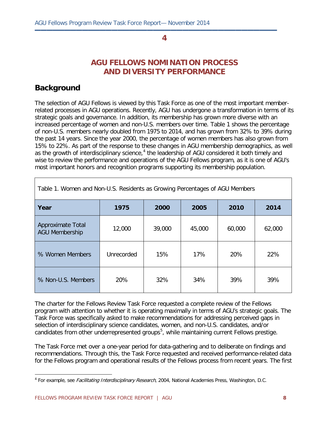**▬▬▬▬▬▬▬▬▬▬▬▬▬▬▬▬▬▬▬▬▬▬▬▬▬▬▬▬▬▬▬▬▬▬▬▬▬▬▬▬▬**

### **AGU FELLOWS NOMINATION PROCESS AND DIVERSITY PERFORMANCE**

### **Background**

The selection of AGU Fellows is viewed by this Task Force as one of the most important memberrelated processes in AGU operations. Recently, AGU has undergone a transformation in terms of its strategic goals and governance. In addition, its membership has grown more diverse with an increased percentage of women and non-U.S. members over time. Table 1 shows the percentage of non-U.S. members nearly doubled from 1975 to 2014, and has grown from 32% to 39% during the past 14 years. Since the year 2000, the percentage of women members has also grown from 15% to 22%. As part of the response to these changes in AGU membership demographics, as well as the growth of interdisciplinary science,<sup>[4](#page-7-0)</sup> the leadership of AGU considered it both timely and wise to review the performance and operations of the AGU Fellows program, as it is one of AGU's most important honors and recognition programs supporting its membership population.

| Table 1. Women and Non-U.S. Residents as Growing Percentages of AGU Members |            |        |        |        |        |  |
|-----------------------------------------------------------------------------|------------|--------|--------|--------|--------|--|
| Year                                                                        | 1975       | 2000   | 2005   | 2010   | 2014   |  |
| Approximate Total<br><b>AGU Membership</b>                                  | 12,000     | 39,000 | 45,000 | 60,000 | 62,000 |  |
| % Women Members                                                             | Unrecorded | 15%    | 17%    | 20%    | 22%    |  |
| % Non-U.S. Members                                                          | 20%        | 32%    | 34%    | 39%    | 39%    |  |

The charter for the Fellows Review Task Force requested a complete review of the Fellows program with attention to whether it is operating maximally in terms of AGU's strategic goals. The Task Force was specifically asked to make recommendations for addressing perceived gaps in selection of interdisciplinary science candidates, women, and non-U.S. candidates, and/or candidates from other underrepresented groups<sup>[5](#page-7-1)</sup>, while maintaining current Fellows prestige.

The Task Force met over a one-year period for data-gathering and to deliberate on findings and recommendations. Through this, the Task Force requested and received performance-related data for the Fellows program and operational results of the Fellows process from recent years. The first

<span id="page-7-1"></span><span id="page-7-0"></span> $\overline{a}$ <sup>4</sup> For example, see *Facilitating Interdisciplinary Research*, 2004, National Academies Press, Washington, D.C.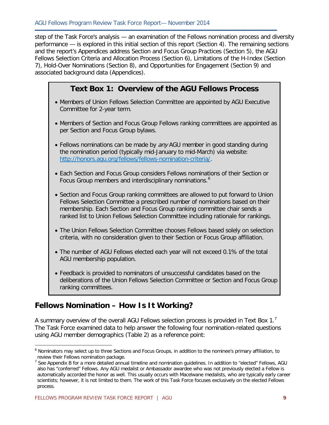step of the Task Force's analysis — an examination of the Fellows nomination process and diversity performance — is explored in this initial section of this report (Section 4). The remaining sections and the report's Appendices address Section and Focus Group Practices (Section 5), the AGU Fellows Selection Criteria and Allocation Process (Section 6), Limitations of the H-Index (Section 7), Hold-Over Nominations (Section 8), and Opportunities for Engagement (Section 9) and associated background data (Appendices).

**▬▬▬▬▬▬▬▬▬▬▬▬▬▬▬▬▬▬▬▬▬▬▬▬▬▬▬▬▬▬▬▬▬▬▬▬▬▬▬▬▬**

### **Text Box 1: Overview of the AGU Fellows Process**

- Members of Union Fellows Selection Committee are appointed by AGU Executive Committee for 2-year term.
- Members of Section and Focus Group Fellows ranking committees are appointed as per Section and Focus Group bylaws.
- Fellows nominations can be made by *any* AGU member in good standing during the nomination period (typically mid-January to mid-March) via website: [http://honors.agu.org/fellows/fellows-nomination-criteria/.](http://honors.agu.org/fellows/fellows-nomination-criteria/)
- Each Section and Focus Group considers Fellows nominations of their Section or Focus Group members and interdisciplinary nominations.<sup>[6](#page-8-0)</sup>
- Section and Focus Group ranking committees are allowed to put forward to Union Fellows Selection Committee a prescribed number of nominations based on their membership. Each Section and Focus Group ranking committee chair sends a ranked list to Union Fellows Selection Committee including rationale for rankings.
- The Union Fellows Selection Committee chooses Fellows based solely on selection criteria, with no consideration given to their Section or Focus Group affiliation.
- The number of AGU Fellows elected each year will not exceed 0.1% of the total AGU membership population.
- Feedback is provided to nominators of unsuccessful candidates based on the deliberations of the Union Fellows Selection Committee or Section and Focus Group ranking committees.

### **Fellows Nomination – How Is It Working?**

A summary overview of the overall AGU Fellows selection process is provided in Text Box 1.<sup>[7](#page-8-1)</sup> The Task Force examined data to help answer the following four nomination-related questions using AGU member demographics (Table 2) as a reference point:

<span id="page-8-0"></span><sup>6</sup> Nominators may select up to three Sections and Focus Groups, in addition to the nominee's primary affiliation, to review their Fellows nomination package.

<span id="page-8-1"></span><sup>&</sup>lt;sup>7</sup> See Appendix B for a more detailed annual timeline and nomination guidelines. In addition to "elected" Fellows, AGU also has "conferred" Fellows. Any AGU medalist or Ambassador awardee who was not previously elected a Fellow is automatically accorded the honor as well. This usually occurs with Macelwane medalists, who are typically early career scientists; however, it is not limited to them. The work of this Task Force focuses exclusively on the elected Fellows process.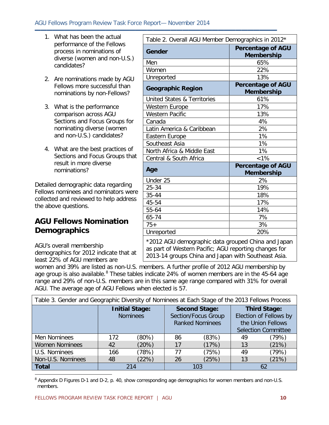#### AGU Fellows Program Review Task Force Report— November 2014

**▬▬▬▬▬▬▬▬▬▬▬▬▬▬▬▬▬▬▬▬▬▬▬▬▬▬▬▬▬▬▬▬▬▬▬▬▬▬▬▬▬**

- 1. What has been the actual performance of the Fellows process in nominations of diverse (women and non-U.S.) candidates?
- 2. Are nominations made by AGU Fellows more successful than nominations by non-Fellows?
- 3. What is the performance comparison across AGU Sections and Focus Groups for nominating diverse (women and non-U.S.) candidates?
- 4. What are the best practices of Sections and Focus Groups that result in more diverse nominations?

Detailed demographic data regarding Fellows nominees and nominators were collected and reviewed to help address the above questions.

### **AGU Fellows Nomination Demographics**

AGU's overall membership demographics for 2012 indicate that at least 22% of AGU members are

| Table 2. Overall AGU Member Demographics in 2012*                                                                                                                  |                                               |  |  |
|--------------------------------------------------------------------------------------------------------------------------------------------------------------------|-----------------------------------------------|--|--|
| Gender                                                                                                                                                             | <b>Percentage of AGU</b><br><b>Membership</b> |  |  |
| Men                                                                                                                                                                | 65%                                           |  |  |
| Women                                                                                                                                                              | 22%                                           |  |  |
| Unreported                                                                                                                                                         | 13%                                           |  |  |
| <b>Geographic Region</b>                                                                                                                                           | <b>Percentage of AGU</b><br><b>Membership</b> |  |  |
| <b>United States &amp; Territories</b>                                                                                                                             | 61%                                           |  |  |
| Western Europe                                                                                                                                                     | 17%                                           |  |  |
| <b>Western Pacific</b>                                                                                                                                             | 13%                                           |  |  |
| Canada                                                                                                                                                             | 4%                                            |  |  |
| Latin America & Caribbean                                                                                                                                          | 2%                                            |  |  |
| Eastern Europe                                                                                                                                                     | 1%                                            |  |  |
| Southeast Asia                                                                                                                                                     | 1%                                            |  |  |
| North Africa & Middle East                                                                                                                                         | 1%                                            |  |  |
| Central & South Africa                                                                                                                                             | $< 1\%$                                       |  |  |
| Age                                                                                                                                                                | <b>Percentage of AGU</b><br><b>Membership</b> |  |  |
| Under 25                                                                                                                                                           | 2%                                            |  |  |
| 25-34                                                                                                                                                              | 19%                                           |  |  |
| 35-44                                                                                                                                                              | 18%                                           |  |  |
| 45-54                                                                                                                                                              | 17%                                           |  |  |
| 55-64                                                                                                                                                              | 14%                                           |  |  |
| 65-74                                                                                                                                                              | 7%                                            |  |  |
| $75+$                                                                                                                                                              | 3%                                            |  |  |
| Unreported                                                                                                                                                         | 20%                                           |  |  |
| *2012 AGU demographic data grouped China and Japan<br>as part of Western Pacific; AGU reporting changes for<br>2013-14 groups China and Japan with Southeast Asia. |                                               |  |  |

women and 39% are listed as non-U.S. members. A further profile of 2012 AGU membership by age group is also available. <sup>[8](#page-9-0)</sup> These tables indicate 24% of women members are in the 45-64 age range and 29% of non-U.S. members are in this same age range compared with 31% for overall AGU. The average age of AGU Fellows when elected is 57.

| Table 3. Gender and Geographic Diversity of Nominees at Each Stage of the 2013 Fellows Process |     |                                                                       |             |                                                                                                  |    |       |
|------------------------------------------------------------------------------------------------|-----|-----------------------------------------------------------------------|-------------|--------------------------------------------------------------------------------------------------|----|-------|
| <b>Initial Stage:</b><br><b>Nominees</b>                                                       |     | <b>Second Stage:</b><br>Section/Focus Group<br><b>Ranked Nominees</b> |             | <b>Third Stage:</b><br>Election of Fellows by<br>the Union Fellows<br><b>Selection Committee</b> |    |       |
| Men Nominees                                                                                   | 172 | (80%)                                                                 | 86          | (83%)                                                                                            | 49 | (79%) |
| <b>Women Nominees</b>                                                                          | 42  | (20%)                                                                 | 17          | (17%)                                                                                            | 13 | (21%) |
| U.S. Nominees                                                                                  | 166 | (78%)                                                                 | 77          | (75%)                                                                                            | 49 | (79%) |
| Non-U.S. Nominees                                                                              | 48  | (22%)                                                                 | (25%)<br>26 |                                                                                                  | 13 | (21%) |
| <b>Total</b>                                                                                   | 214 |                                                                       | 103         |                                                                                                  | 62 |       |

<span id="page-9-0"></span> $\overline{a}$ <sup>8</sup> Appendix D Figures D-1 and D-2, p. 40, show corresponding age demographics for women members and non-U.S. members.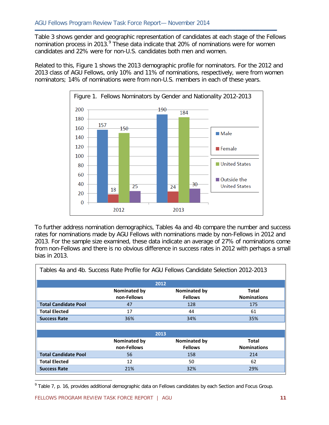Table 3 shows gender and geographic representation of candidates at each stage of the Fellows nomination process in 2013.<sup>[9](#page-10-0)</sup> These data indicate that 20% of nominations were for women candidates and 22% were for non-U.S. candidates both men and women.

**▬▬▬▬▬▬▬▬▬▬▬▬▬▬▬▬▬▬▬▬▬▬▬▬▬▬▬▬▬▬▬▬▬▬▬▬▬▬▬▬▬**

Related to this, Figure 1 shows the 2013 demographic profile for nominators. For the 2012 and 2013 class of AGU Fellows, only 10% and 11% of nominations, respectively, were from women nominators; 14% of nominations were from non-U.S. members in each of these years.



To further address nomination demographics, Tables 4a and 4b compare the number and success rates for nominations made by AGU Fellows with nominations made by non-Fellows in 2012 and 2013. For the sample size examined, these data indicate an average of 27% of nominations come from non-Fellows and there is no obvious difference in success rates in 2012 with perhaps a small bias in 2013.

| Tables 4a and 4b. Success Rate Profile for AGU Fellows Candidate Selection 2012-2013 |                             |                                       |                             |  |  |
|--------------------------------------------------------------------------------------|-----------------------------|---------------------------------------|-----------------------------|--|--|
|                                                                                      |                             | 2012                                  |                             |  |  |
|                                                                                      | Nominated by<br>non-Fellows | <b>Nominated by</b><br><b>Fellows</b> | Total<br><b>Nominations</b> |  |  |
| <b>Total Candidate Pool</b>                                                          | 47                          | 128                                   | 175                         |  |  |
| <b>Total Elected</b>                                                                 | 17                          | 44                                    | 61                          |  |  |
| <b>Success Rate</b>                                                                  | 36%                         | 34%                                   | 35%                         |  |  |
|                                                                                      |                             |                                       |                             |  |  |
|                                                                                      |                             | 2013                                  |                             |  |  |
|                                                                                      | Nominated by<br>non-Fellows | <b>Nominated by</b><br><b>Fellows</b> | Total<br><b>Nominations</b> |  |  |
| <b>Total Candidate Pool</b>                                                          | 56                          | 158                                   | 214                         |  |  |
| <b>Total Elected</b>                                                                 | 12                          | 50                                    | 62                          |  |  |
| <b>Success Rate</b>                                                                  | 21%                         | 32%                                   | 29%                         |  |  |

<span id="page-10-0"></span><sup>&</sup>lt;sup>9</sup> Table 7, p. 16, provides additional demographic data on Fellows candidates by each Section and Focus Group.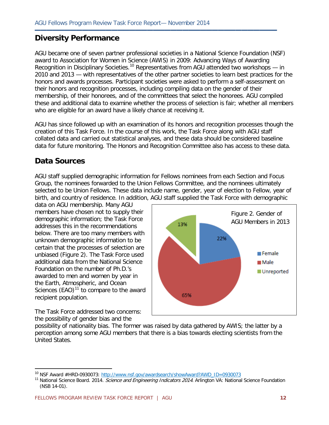### **Diversity Performance**

AGU became one of seven partner professional societies in a National Science Foundation (NSF) award to Association for Women in Science (AWIS) in 2009: Advancing Ways of Awarding Recognition in Disciplinary Societies.<sup>[10](#page-11-0)</sup> Representatives from AGU attended two workshops  $-$  in 2010 and 2013 — with representatives of the other partner societies to learn best practices for the honors and awards processes. Participant societies were asked to perform a self-assessment on their honors and recognition processes, including compiling data on the gender of their membership, of their honorees, and of the committees that select the honorees. AGU compiled these and additional data to examine whether the process of selection is fair; whether all members who are eligible for an award have a likely chance at receiving it.

**▬▬▬▬▬▬▬▬▬▬▬▬▬▬▬▬▬▬▬▬▬▬▬▬▬▬▬▬▬▬▬▬▬▬▬▬▬▬▬▬▬**

AGU has since followed up with an examination of its honors and recognition processes though the creation of this Task Force. In the course of this work, the Task Force along with AGU staff collated data and carried out statistical analyses, and these data should be considered baseline data for future monitoring. The Honors and Recognition Committee also has access to these data.

### **Data Sources**

AGU staff supplied demographic information for Fellows nominees from each Section and Focus Group, the nominees forwarded to the Union Fellows Committee, and the nominees ultimately selected to be Union Fellows. These data include name, gender, year of election to Fellow, year of birth, and country of residence. In addition, AGU staff supplied the Task Force with demographic

data on AGU membership. Many AGU members have chosen not to supply their demographic information; the Task Force addresses this in the recommendations below. There are too many members with unknown demographic information to be certain that the processes of selection are unbiased (Figure 2). The Task Force used additional data from the National Science Foundation on the number of Ph.D.'s awarded to men and women by year in the Earth, Atmospheric, and Ocean Sciences  $(EAO)<sup>11</sup>$  $(EAO)<sup>11</sup>$  $(EAO)<sup>11</sup>$  to compare to the award recipient population.



The Task Force addressed two concerns: the possibility of gender bias and the

 $\overline{a}$ 

possibility of nationality bias. The former was raised by data gathered by AWIS; the latter by a perception among some AGU members that there is a bias towards electing scientists from the United States.

<span id="page-11-0"></span><sup>&</sup>lt;sup>10</sup> NSF Award #HRD-0930073: [http://www.nsf.gov/awardsearch/showAward?AWD\\_ID=0930073](http://www.nsf.gov/awardsearch/showAward?AWD_ID=0930073)

<span id="page-11-1"></span><sup>&</sup>lt;sup>11</sup> National Science Board. 2014. *Science and Engineering Indicators 2014*. Arlington VA: National Science Foundation (NSB 14-01).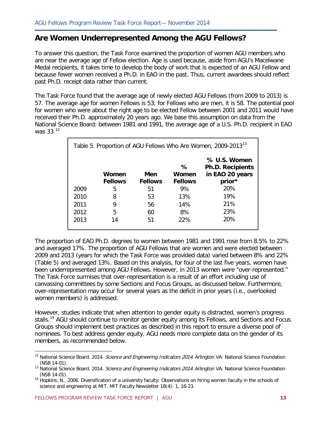### **Are Women Underrepresented Among the AGU Fellows?**

To answer this question, the Task Force examined the proportion of women AGU members who are near the average age of Fellow election. Age is used because, aside from AGU's Macelwane Medal recipients, it takes time to develop the body of work that is expected of an AGU Fellow and because fewer women received a Ph.D. in EAO in the past. Thus, current awardees should reflect past Ph.D. receipt data rather than current.

**▬▬▬▬▬▬▬▬▬▬▬▬▬▬▬▬▬▬▬▬▬▬▬▬▬▬▬▬▬▬▬▬▬▬▬▬▬▬▬▬▬**

The Task Force found that the average age of newly elected AGU Fellows (from 2009 to 2013) is 57. The average age for women Fellows is 53; for Fellows who are men, it is 58. The potential pool for women who were about the right age to be elected Fellow between 2001 and 2011 would have received their Ph.D. approximately 20 years ago. We base this assumption on data from the National Science Board: between 1981 and 1991, the average age of a U.S. Ph.D. recipient in EAO was 33.<sup>[12](#page-12-0)</sup>

| Table 5. Proportion of AGU Fellows Who Are Women, 2009-2013 <sup>13</sup> |                         |                       |                              |                                                                      |  |
|---------------------------------------------------------------------------|-------------------------|-----------------------|------------------------------|----------------------------------------------------------------------|--|
|                                                                           | Women<br><b>Fellows</b> | Men<br><b>Fellows</b> | ℅<br>Women<br><b>Fellows</b> | % U.S. Women<br><b>Ph.D. Recipients</b><br>in EAO 20 years<br>prior* |  |
| 2009                                                                      | 5                       | 51                    | 9%                           | 20%                                                                  |  |
| 2010                                                                      | 8                       | 53                    | 13%                          | 19%                                                                  |  |
| 2011                                                                      | 9                       | 56                    | 14%                          | 21%                                                                  |  |
| 2012                                                                      | 5                       | 60                    | 8%                           | 23%                                                                  |  |
| 2013                                                                      | 14                      | 51                    | 22%                          | 20%                                                                  |  |

The proportion of EAO Ph.D. degrees to women between 1981 and 1991 rose from 8.5% to 22% and averaged 17%. The proportion of AGU Fellows that are women and were elected between 2009 and 2013 (years for which the Task Force was provided data) varied between 8% and 22% (Table 5) and averaged 13%. Based on this analysis, for four of the last five years, women have been underrepresented among AGU Fellows. However, in 2013 women were "over-represented." The Task Force surmises that over-representation is a result of an effort including use of canvassing committees by some Sections and Focus Groups, as discussed below. Furthermore, over-representation may occur for several years as the deficit in prior years (i.e., overlooked women members) is addressed.

However, studies indicate that when attention to gender equity is distracted, women's progress stalls.<sup>[14](#page-12-2)</sup> AGU should continue to monitor gender equity among its Fellows, and Sections and Focus Groups should implement best practices as described in this report to ensure a diverse pool of nominees. To best address gender equity, AGU needs more complete data on the gender of its members, as recommended below.

<span id="page-12-0"></span><sup>&</sup>lt;sup>12</sup> National Science Board. 2014. Science and Engineering Indicators 2014. Arlington VA: National Science Foundation (NSB 14-01).

<span id="page-12-1"></span><sup>&</sup>lt;sup>13</sup> National Science Board. 2014. Science and Engineering Indicators 2014. Arlington VA: National Science Foundation (NSB 14-01).

<span id="page-12-2"></span> $14$  Hopkins, N., 2006. Diversification of a university faculty: Observations on hiring women faculty in the schools of science and engineering at MIT. MIT Faculty Newsletter 18(4): 1, 16-23.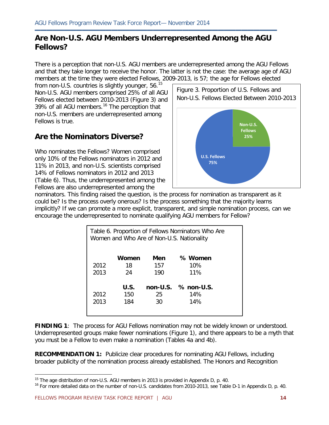### **Are Non-U.S. AGU Members Underrepresented Among the AGU Fellows?**

**▬▬▬▬▬▬▬▬▬▬▬▬▬▬▬▬▬▬▬▬▬▬▬▬▬▬▬▬▬▬▬▬▬▬▬▬▬▬▬▬▬**

There is a perception that non-U.S. AGU members are underrepresented among the AGU Fellows and that they take longer to receive the honor. The latter is not the case: the average age of AGU members at the time they were elected Fellows, 2009-2013, is 57; the age for Fellows elected

from non-U.S. countries is slightly younger,  $56.^{15}$  $56.^{15}$  $56.^{15}$ Non-U.S. AGU members comprised 25% of all AGU Fellows elected between 2010-2013 (Figure 3) and 39% of all AGU members.<sup>[16](#page-13-1)</sup> The perception that non-U.S. members are underrepresented among Fellows is true.

### **Are the Nominators Diverse?**

Who nominates the Fellows? Women comprised only 10% of the Fellows nominators in 2012 and 11% in 2013, and non-U.S. scientists comprised 14% of Fellows nominators in 2012 and 2013 (Table 6). Thus, the underrepresented among the Fellows are also underrepresented among the



nominators. This finding raised the question, is the process for nomination as transparent as it could be? Is the process overly onerous? Is the process something that the majority learns implicitly? If we can promote a more explicit, transparent, and simple nomination process, can we encourage the underrepresented to nominate qualifying AGU members for Fellow?

| Table 6. Proportion of Fellows Nominators Who Are<br>Women and Who Are of Non-U.S. Nationality |       |     |                       |  |  |  |
|------------------------------------------------------------------------------------------------|-------|-----|-----------------------|--|--|--|
|                                                                                                | Women | Men | % Women               |  |  |  |
| 2012                                                                                           | 18    | 157 | 10%                   |  |  |  |
| 2013                                                                                           | 24    | 190 | 11%                   |  |  |  |
|                                                                                                | U.S.  |     | $non-U.S.$ % non-U.S. |  |  |  |
| 2012                                                                                           | 150   | 25  | 14%                   |  |  |  |
| 2013                                                                                           | 184   | 30  | 14%                   |  |  |  |
|                                                                                                |       |     |                       |  |  |  |

**FINDING 1**: The process for AGU Fellows nomination may not be widely known or understood. Underrepresented groups make fewer nominations (Figure 1), and there appears to be a myth that you must be a Fellow to even make a nomination (Tables 4a and 4b).

**RECOMMENDATION 1:** Publicize clear procedures for nominating AGU Fellows, including broader publicity of the nomination process already established. The Honors and Recognition

<span id="page-13-1"></span><span id="page-13-0"></span> $15$  The age distribution of non-U.S. AGU members in 2013 is provided in Appendix D, p. 40.

<sup>&</sup>lt;sup>16</sup> For more detailed data on the number of non-U.S. candidates from 2010-2013, see Table D-1 in Appendix D, p. 40.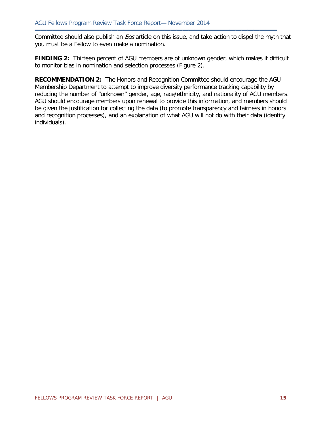Committee should also publish an *Eos* article on this issue, and take action to dispel the myth that you must be a Fellow to even make a nomination.

**▬▬▬▬▬▬▬▬▬▬▬▬▬▬▬▬▬▬▬▬▬▬▬▬▬▬▬▬▬▬▬▬▬▬▬▬▬▬▬▬▬**

**FINDING 2:** Thirteen percent of AGU members are of unknown gender, which makes it difficult to monitor bias in nomination and selection processes (Figure 2).

**RECOMMENDATION 2:** The Honors and Recognition Committee should encourage the AGU Membership Department to attempt to improve diversity performance tracking capability by reducing the number of "unknown" gender, age, race/ethnicity, and nationality of AGU members. AGU should encourage members upon renewal to provide this information, and members should be given the justification for collecting the data (to promote transparency and fairness in honors and recognition processes), and an explanation of what AGU will not do with their data (identify individuals).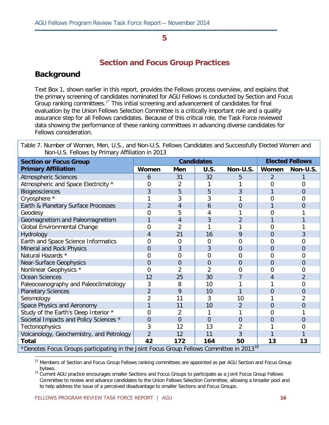**▬▬▬▬▬▬▬▬▬▬▬▬▬▬▬▬▬▬▬▬▬▬▬▬▬▬▬▬▬▬▬▬▬▬▬▬▬▬▬▬▬**

### **Section and Focus Group Practices**

### **Background**

Text Box 1, shown earlier in this report, provides the Fellows process overview, and explains that the primary screening of candidates nominated for AGU Fellows is conducted by Section and Focus Group ranking committees.<sup>[17](#page-15-0)</sup> This initial screening and advancement of candidates for final evaluation by the Union Fellows Selection Committee is a critically important role and a quality assurance step for all Fellows candidates. Because of this critical role, the Task Force reviewed data showing the performance of these ranking committees in advancing diverse candidates for Fellows consideration.

Table 7. Number of Women, Men, U.S., and Non-U.S. Fellows Candidates and Successfully Elected Women and Non-U.S. Fellows by Primary Affiliation in 2013

| <b>Section or Focus Group</b>                                                                        | <b>Candidates</b> |                |                |                | <b>Elected Fellows</b> |                |
|------------------------------------------------------------------------------------------------------|-------------------|----------------|----------------|----------------|------------------------|----------------|
| <b>Primary Affiliation</b>                                                                           | Women             | Men            | U.S.           | Non-U.S.       | Women                  | Non-U.S.       |
| <b>Atmospheric Sciences</b>                                                                          | 6                 | 31             | 32             | 5              | $\overline{2}$         |                |
| Atmospheric and Space Electricity *                                                                  | 0                 | 2              |                |                | 0                      | ი              |
| <b>Biogeosciences</b>                                                                                | 3                 | 5              | 5              | 3              |                        | $\Omega$       |
| Cryosphere *                                                                                         |                   | 3              | 3              |                | 0                      | O              |
| Earth & Planetary Surface Processes                                                                  | $\overline{2}$    | 4              | 6              | 0              |                        | $\Omega$       |
| Geodesy                                                                                              | 0                 | 5              | 4              |                | 0                      |                |
| Geomagnetism and Paleomagnetism                                                                      |                   | 4              | 3              | $\overline{2}$ |                        |                |
| Global Environmental Change                                                                          | $\overline{0}$    | $\overline{2}$ |                |                | 0                      |                |
| Hydrology                                                                                            | 4                 | 21             | 16             | 9              | 0                      | 3              |
| Earth and Space Science Informatics                                                                  | $\overline{0}$    | 0              | $\Omega$       | ი              | 0                      | O              |
| Mineral and Rock Physics                                                                             | $\overline{0}$    | 3              | 3              | 0              | 0                      | O              |
| Natural Hazards *                                                                                    | $\overline{0}$    | 0              | 0              | 0              | 0                      | 0              |
| <b>Near-Surface Geophysics</b>                                                                       | $\overline{0}$    | $\overline{0}$ | $\overline{0}$ | 0              | 0                      | $\Omega$       |
| Nonlinear Geophysics *                                                                               | $\Omega$          | $\overline{2}$ | 2              | ი              | 0                      | Ω              |
| <b>Ocean Sciences</b>                                                                                | 12                | 25             | 30             |                | 4                      | $\mathfrak{D}$ |
| Paleoceanography and Paleoclimatology                                                                | 3                 | 8              | 10             |                |                        | 0              |
| <b>Planetary Sciences</b>                                                                            | 2                 | 9              | 10             |                | 0                      | $\Omega$       |
| Seismology                                                                                           | $\overline{2}$    | 11             | 3              | 10             |                        |                |
| Space Physics and Aeronomy                                                                           | 1                 | 11             | 10             | $\overline{2}$ | $\overline{0}$         | 0              |
| Study of the Earth's Deep Interior *                                                                 | $\Omega$          | $\overline{2}$ | 1              |                | 0                      |                |
| Societal Impacts and Policy Sciences *                                                               | $\overline{0}$    | $\overline{0}$ | $\Omega$       | 0              | 0                      | $\Omega$       |
| <b>Tectonophysics</b>                                                                                | 3                 | 12             | 13             |                |                        | Ω              |
| Volcanology, Geochemistry, and Petrology                                                             | $\overline{2}$    | 12             | 11             | 3              |                        |                |
| <b>Total</b>                                                                                         | 42                | 172            | 164            | 50             | 13                     | 13             |
| *Denotes Focus Groups participating in the Joint Focus Group Fellows Committee in 2013 <sup>18</sup> |                   |                |                |                |                        |                |

<span id="page-15-0"></span><sup>17</sup> Members of Section and Focus Group Fellows ranking committees are appointed as per AGU Section and Focus Group

<span id="page-15-1"></span>bylaws.<br><sup>18</sup> Current AGU practice encourages smaller Sections and Focus Groups to participate as a Joint Focus Group Fellows Committee to review and advance candidates to the Union Fellows Selection Committee, allowing a broader pool and to help address the issue of a perceived disadvantage to smaller Sections and Focus Groups.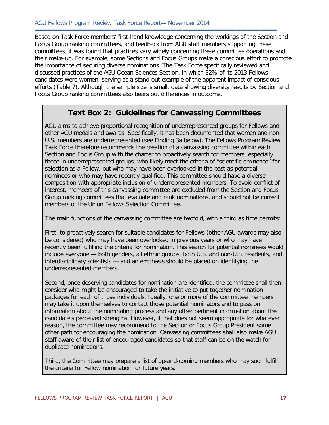Based on Task Force members' first-hand knowledge concerning the workings of the Section and Focus Group ranking committees, and feedback from AGU staff members supporting these committees, it was found that practices vary widely concerning these committee operations and their make-up. For example, some Sections and Focus Groups make a conscious effort to promote the importance of securing diverse nominations. The Task Force specifically reviewed and discussed practices of the AGU Ocean Sciences Section, in which 32% of its 2013 Fellows candidates were women, serving as a stand-out example of the apparent impact of conscious efforts (Table 7). Although the sample size is small, data showing diversity results by Section and Focus Group ranking committees also bears out differences in outcome.

**▬▬▬▬▬▬▬▬▬▬▬▬▬▬▬▬▬▬▬▬▬▬▬▬▬▬▬▬▬▬▬▬▬▬▬▬▬▬▬▬▬**

### **Text Box 2: Guidelines for Canvassing Committees**

AGU aims to achieve proportional recognition of underrepresented groups for Fellows and other AGU medals and awards. Specifically, it has been documented that women and non-U.S. members are underrepresented (see Finding 3a below). The Fellows Program Review Task Force therefore recommends the creation of a canvassing committee within each Section and Focus Group with the charter to proactively search for members, especially those in underrepresented groups, who likely meet the criteria of "scientific eminence" for selection as a Fellow, but who may have been overlooked in the past as potential nominees or who may have recently qualified. This committee should have a diverse composition with appropriate inclusion of underrepresented members. To avoid conflict of interest, members of this canvassing committee are excluded from the Section and Focus Group ranking committees that evaluate and rank nominations, and should not be current members of the Union Fellows Selection Committee.

The main functions of the canvassing committee are twofold, with a third as time permits:

First, to proactively search for suitable candidates for Fellows (other AGU awards may also be considered) who may have been overlooked in previous years or who may have recently been fulfilling the criteria for nomination. This search for potential nominees would include everyone — both genders, all ethnic groups, both U.S. and non-U.S. residents, and interdisciplinary scientists — and an emphasis should be placed on identifying the underrepresented members.

Second, once deserving candidates for nomination are identified, the committee shall then consider who might be encouraged to take the initiative to put together nomination packages for each of those individuals. Ideally, one or more of the committee members may take it upon themselves to contact those potential nominators and to pass on information about the nominating process and any other pertinent information about the candidate's perceived strengths. However, if that does not seem appropriate for whatever reason, the committee may recommend to the Section or Focus Group President some other path for encouraging the nomination. Canvassing committees shall also make AGU staff aware of their list of encouraged candidates so that staff can be on the watch for duplicate nominations.

Third, the Committee may prepare a list of up-and-coming members who may soon fulfill the criteria for Fellow nomination for future years.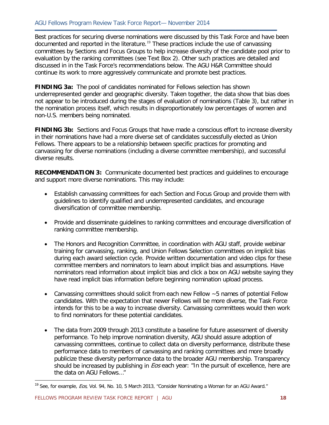Best practices for securing diverse nominations were discussed by this Task Force and have been documented and reported in the literature.[19](#page-17-0) These practices include the use of canvassing committees by Sections and Focus Groups to help increase diversity of the candidate pool prior to evaluation by the ranking committees (see Text Box 2). Other such practices are detailed and discussed in in the Task Force's recommendations below. The AGU H&R Committee should continue its work to more aggressively communicate and promote best practices.

**▬▬▬▬▬▬▬▬▬▬▬▬▬▬▬▬▬▬▬▬▬▬▬▬▬▬▬▬▬▬▬▬▬▬▬▬▬▬▬▬▬**

**FINDING 3a:** The pool of candidates nominated for Fellows selection has shown underrepresented gender and geographic diversity. Taken together, the data show that bias does not appear to be introduced during the stages of evaluation of nominations (Table 3), but rather in the nomination process itself, which results in disproportionately low percentages of women and non-U.S. members being nominated.

**FINDING 3b:** Sections and Focus Groups that have made a conscious effort to increase diversity in their nominations have had a more diverse set of candidates successfully elected as Union Fellows. There appears to be a relationship between specific practices for promoting and canvassing for diverse nominations (including a diverse committee membership), and successful diverse results.

**RECOMMENDATION 3:** Communicate documented best practices and guidelines to encourage and support more diverse nominations. This may include:

- Establish canvassing committees for each Section and Focus Group and provide them with guidelines to identify qualified and underrepresented candidates, and encourage diversification of committee membership.
- Provide and disseminate guidelines to ranking committees and encourage diversification of ranking committee membership.
- The Honors and Recognition Committee, in coordination with AGU staff, provide webinar training for canvassing, ranking, and Union Fellows Selection committees on implicit bias during each award selection cycle. Provide written documentation and video clips for these committee members and nominators to learn about implicit bias and assumptions. Have nominators read information about implicit bias and click a box on AGU website saying they have read implicit bias information before beginning nomination upload process.
- Canvassing committees should solicit from each new Fellow ~5 names of potential Fellow candidates. With the expectation that newer Fellows will be more diverse, the Task Force intends for this to be a way to increase diversity. Canvassing committees would then work to find nominators for these potential candidates.
- The data from 2009 through 2013 constitute a baseline for future assessment of diversity performance. To help improve nomination diversity, AGU should assure adoption of canvassing committees, continue to collect data on diversity performance, distribute these performance data to members of canvassing and ranking committees and more broadly publicize these diversity performance data to the broader AGU membership. Transparency should be increased by publishing in *Eos* each year: "In the pursuit of excellence, here are the data on AGU Fellows…"

<span id="page-17-0"></span><sup>&</sup>lt;sup>19</sup> See, for example, *Eos*, Vol. 94, No. 10, 5 March 2013, "Consider Nominating a Woman for an AGU Award."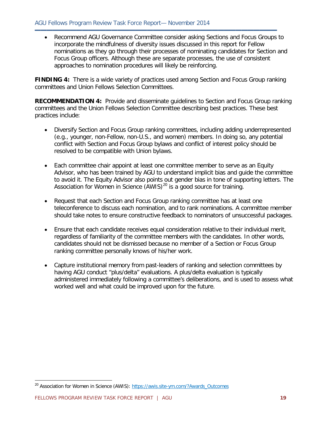• Recommend AGU Governance Committee consider asking Sections and Focus Groups to incorporate the mindfulness of diversity issues discussed in this report for Fellow nominations as they go through their processes of nominating candidates for Section and Focus Group officers. Although these are separate processes, the use of consistent approaches to nomination procedures will likely be reinforcing.

**▬▬▬▬▬▬▬▬▬▬▬▬▬▬▬▬▬▬▬▬▬▬▬▬▬▬▬▬▬▬▬▬▬▬▬▬▬▬▬▬▬**

**FINDING 4:** There is a wide variety of practices used among Section and Focus Group ranking committees and Union Fellows Selection Committees.

**RECOMMENDATION 4:** Provide and disseminate guidelines to Section and Focus Group ranking committees and the Union Fellows Selection Committee describing best practices. These best practices include:

- Diversify Section and Focus Group ranking committees, including adding underrepresented (e.g., younger, non-Fellow, non-U.S., and women) members. In doing so, any potential conflict with Section and Focus Group bylaws and conflict of interest policy should be resolved to be compatible with Union bylaws.
- Each committee chair appoint at least one committee member to serve as an Equity Advisor, who has been trained by AGU to understand implicit bias and guide the committee to avoid it. The Equity Advisor also points out gender bias in tone of supporting letters. The Association for Women in Science  $(AWIS)^{20}$  $(AWIS)^{20}$  $(AWIS)^{20}$  is a good source for training.
- Request that each Section and Focus Group ranking committee has at least one teleconference to discuss each nomination, and to rank nominations. A committee member should take notes to ensure constructive feedback to nominators of unsuccessful packages.
- Ensure that each candidate receives equal consideration relative to their individual merit, regardless of familiarity of the committee members with the candidates. In other words, candidates should not be dismissed because no member of a Section or Focus Group ranking committee personally knows of his/her work.
- Capture institutional memory from past-leaders of ranking and selection committees by having AGU conduct "plus/delta" evaluations. A plus/delta evaluation is typically administered immediately following a committee's deliberations, and is used to assess what worked well and what could be improved upon for the future.

<span id="page-18-0"></span><sup>&</sup>lt;sup>20</sup> Association for Women in Science (AWIS): [https://awis.site-ym.com/?Awards\\_Outcomes](https://awis.site-ym.com/?Awards_Outcomes)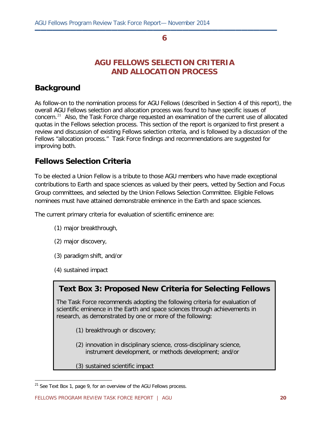**▬▬▬▬▬▬▬▬▬▬▬▬▬▬▬▬▬▬▬▬▬▬▬▬▬▬▬▬▬▬▬▬▬▬▬▬▬▬▬▬▬**

### **AGU FELLOWS SELECTION CRITERIA AND ALLOCATION PROCESS**

### **Background**

As follow-on to the nomination process for AGU Fellows (described in Section 4 of this report), the overall AGU Fellows selection and allocation process was found to have specific issues of concern.<sup>[21](#page-19-0)</sup> Also, the Task Force charge requested an examination of the current use of allocated quotas in the Fellows selection process. This section of the report is organized to first present a review and discussion of existing Fellows selection criteria, and is followed by a discussion of the Fellows "allocation process." Task Force findings and recommendations are suggested for improving both.

### **Fellows Selection Criteria**

To be elected a Union Fellow is a tribute to those AGU members who have made exceptional contributions to Earth and space sciences as valued by their peers, vetted by Section and Focus Group committees, and selected by the Union Fellows Selection Committee. Eligible Fellows nominees must have attained demonstrable eminence in the Earth and space sciences.

The current primary criteria for evaluation of scientific eminence are:

- (1) major breakthrough,
- (2) major discovery,
- (3) paradigm shift, and/or
- (4) sustained impact

 $\overline{a}$ 

## **Text Box 3: Proposed New Criteria for Selecting Fellows**

The Task Force recommends adopting the following criteria for evaluation of scientific eminence in the Earth and space sciences through achievements in research, as demonstrated by one or more of the following:

- (1) breakthrough or discovery;
- (2) innovation in disciplinary science, cross-disciplinary science, instrument development, or methods development; and/or
- (3) sustained scientific impact

<span id="page-19-0"></span> $21$  See Text Box 1, page 9, for an overview of the AGU Fellows process.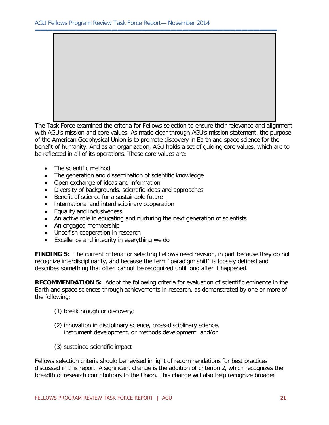The Task Force examined the criteria for Fellows selection to ensure their relevance and alignment with AGU's mission and core values. As made clear through AGU's mission statement, the purpose of the American Geophysical Union is to promote discovery in Earth and space science for the benefit of humanity. And as an organization, AGU holds a set of guiding core values, which are to be reflected in all of its operations. These core values are:

**▬▬▬▬▬▬▬▬▬▬▬▬▬▬▬▬▬▬▬▬▬▬▬▬▬▬▬▬▬▬▬▬▬▬▬▬▬▬▬▬▬**

- The scientific method
- The generation and dissemination of scientific knowledge
- Open exchange of ideas and information
- Diversity of backgrounds, scientific ideas and approaches
- Benefit of science for a sustainable future
- International and interdisciplinary cooperation
- Equality and inclusiveness
- An active role in educating and nurturing the next generation of scientists
- An engaged membership
- Unselfish cooperation in research
- Excellence and integrity in everything we do

**FINDING 5:** The current criteria for selecting Fellows need revision, in part because they do not recognize interdisciplinarity, and because the term "paradigm shift" is loosely defined and describes something that often cannot be recognized until long after it happened.

**RECOMMENDATION 5:** Adopt the following criteria for evaluation of scientific eminence in the Earth and space sciences through achievements in research, as demonstrated by one or more of the following:

- (1) breakthrough or discovery;
- (2) innovation in disciplinary science, cross-disciplinary science, instrument development, or methods development; and/or
- (3) sustained scientific impact

Fellows selection criteria should be revised in light of recommendations for best practices discussed in this report. A significant change is the addition of criterion 2, which recognizes the breadth of research contributions to the Union. This change will also help recognize broader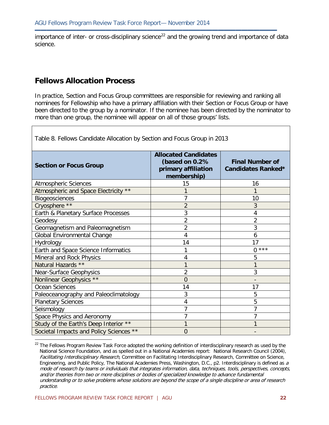importance of inter- or cross-disciplinary science<sup>[22](#page-21-0)</sup> and the growing trend and importance of data science.

**▬▬▬▬▬▬▬▬▬▬▬▬▬▬▬▬▬▬▬▬▬▬▬▬▬▬▬▬▬▬▬▬▬▬▬▬▬▬▬▬▬**

### **Fellows Allocation Process**

In practice, Section and Focus Group committees are responsible for reviewing and ranking all nominees for Fellowship who have a primary affiliation with their Section or Focus Group or have been directed to the group by a nominator. If the nominee has been directed by the nominator to more than one group, the nominee will appear on all of those groups' lists.

| Table 8. Fellows Candidate Allocation by Section and Focus Group in 2013 |                                                                                     |                                              |  |  |
|--------------------------------------------------------------------------|-------------------------------------------------------------------------------------|----------------------------------------------|--|--|
| <b>Section or Focus Group</b>                                            | <b>Allocated Candidates</b><br>(based on 0.2%<br>primary affiliation<br>membership) | <b>Final Number of</b><br>Candidates Ranked* |  |  |
| <b>Atmospheric Sciences</b>                                              | 15                                                                                  | 16                                           |  |  |
| Atmospheric and Space Electricity **                                     |                                                                                     |                                              |  |  |
| Biogeosciences                                                           | 7                                                                                   | 10                                           |  |  |
| Cryosphere **                                                            | $\overline{2}$                                                                      | 3                                            |  |  |
| Earth & Planetary Surface Processes                                      | 3                                                                                   | 4                                            |  |  |
| Geodesy                                                                  | 2                                                                                   | 2                                            |  |  |
| Geomagnetism and Paleomagnetism                                          | $\overline{2}$                                                                      | 3                                            |  |  |
| Global Environmental Change                                              | 4                                                                                   | 6                                            |  |  |
| Hydrology                                                                | 14                                                                                  | 17                                           |  |  |
| Earth and Space Science Informatics                                      | 1                                                                                   | $***$<br>$\Omega$                            |  |  |
| Mineral and Rock Physics                                                 | 4                                                                                   | 5                                            |  |  |
| Natural Hazards **                                                       | 1                                                                                   | 1                                            |  |  |
| <b>Near-Surface Geophysics</b>                                           | 2                                                                                   | 3                                            |  |  |
| Nonlinear Geophysics **                                                  | $\overline{0}$                                                                      |                                              |  |  |
| Ocean Sciences                                                           | 14                                                                                  | 17                                           |  |  |
| Paleoceanography and Paleoclimatology                                    | 3                                                                                   | 5                                            |  |  |
| <b>Planetary Sciences</b>                                                | 4                                                                                   | 5                                            |  |  |
| Seismology                                                               | 7                                                                                   | 7                                            |  |  |
| Space Physics and Aeronomy                                               | $\overline{7}$                                                                      | 7                                            |  |  |
| Study of the Earth's Deep Interior **                                    | 1                                                                                   | 1                                            |  |  |
| Societal Impacts and Policy Sciences **                                  | $\overline{0}$                                                                      |                                              |  |  |
|                                                                          |                                                                                     |                                              |  |  |

<span id="page-21-0"></span> $22$  The Fellows Program Review Task Force adopted the working definition of interdisciplinary research as used by the National Science Foundation, and as spelled out in a National Academies report: National Research Council (2004), Facilitating Interdisciplinary Research, Committee on Facilitating Interdisciplinary Research, Committee on Science, Engineering, and Public Policy, The National Academies Press, Washington, D.C., p2. Interdisciplinary is defined as a mode of research by teams or individuals that integrates information, data, techniques, tools, perspectives, concepts, and/or theories from two or more disciplines or bodies of specialized knowledge to advance fundamental understanding or to solve problems whose solutions are beyond the scope of a single discipline or area of research practice.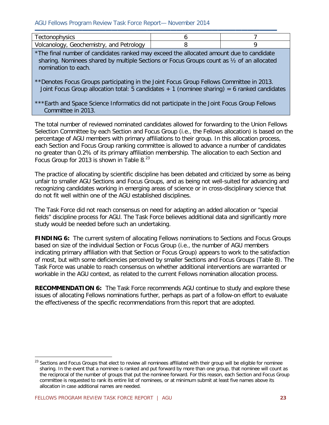#### AGU Fellows Program Review Task Force Report— November 2014

| $\sim$<br>יטוכי<br>שטו וש.                   |  |
|----------------------------------------------|--|
| $\sim$ 122<br>$\sim$<br>717<br>،∟۔<br>anoioù |  |

\*The final number of candidates ranked may exceed the allocated amount due to candidate sharing. Nominees shared by multiple Sections or Focus Groups count as ½ of an allocated nomination to each.

\*\*Denotes Focus Groups participating in the Joint Focus Group Fellows Committee in 2013. Joint Focus Group allocation total: 5 candidates  $+1$  (nominee sharing) = 6 ranked candidates

\*\*\*Earth and Space Science Informatics did not participate in the Joint Focus Group Fellows Committee in 2013.

The total number of reviewed nominated candidates allowed for forwarding to the Union Fellows Selection Committee by each Section and Focus Group (i.e., the Fellows allocation) is based on the percentage of AGU members with primary affiliations to their group. In this allocation process, each Section and Focus Group ranking committee is allowed to advance a number of candidates no greater than 0.2% of its primary affiliation membership. The allocation to each Section and Focus Group for 2013 is shown in Table 8. $^{23}$  $^{23}$  $^{23}$ 

The practice of allocating by scientific discipline has been debated and criticized by some as being unfair to smaller AGU Sections and Focus Groups, and as being not well-suited for advancing and recognizing candidates working in emerging areas of science or in cross-disciplinary science that do not fit well within one of the AGU established disciplines.

The Task Force did not reach consensus on need for adapting an added allocation or "special fields" discipline process for AGU. The Task Force believes additional data and significantly more study would be needed before such an undertaking.

**FINDING 6:** The current system of allocating Fellows nominations to Sections and Focus Groups based on size of the individual Section or Focus Group (i.e., the number of AGU members indicating primary affiliation with that Section or Focus Group) appears to work to the satisfaction of most, but with some deficiencies perceived by smaller Sections and Focus Groups (Table 8). The Task Force was unable to reach consensus on whether additional interventions are warranted or workable in the AGU context, as related to the current Fellows nomination allocation process.

**RECOMMENDATION 6:** The Task Force recommends AGU continue to study and explore these issues of allocating Fellows nominations further, perhaps as part of a follow-on effort to evaluate the effectiveness of the specific recommendations from this report that are adopted.

<span id="page-22-0"></span> $\overline{a}$  $23$  Sections and Focus Groups that elect to review all nominees affiliated with their group will be eligible for nominee sharing. In the event that a nominee is ranked and put forward by more than one group, that nominee will count as the reciprocal of the number of groups that put the nominee forward. For this reason, each Section and Focus Group committee is requested to rank its entire list of nominees, or at minimum submit at least five names above its allocation in case additional names are needed.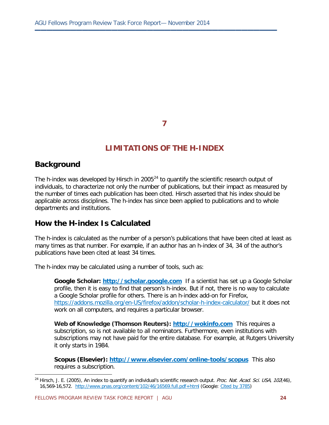**▬▬▬▬▬▬▬▬▬▬▬▬▬▬▬▬▬▬▬▬▬▬▬▬▬▬▬▬▬▬▬▬▬▬▬▬▬▬▬▬▬**

### **LIMITATIONS OF THE H-INDEX**

### **Background**

 $\overline{a}$ 

The h-index was developed by Hirsch in 2005 $^{24}$  $^{24}$  $^{24}$  to quantify the scientific research output of individuals, to characterize not only the number of publications, but their impact as measured by the number of times each publication has been cited. Hirsch asserted that his index should be applicable across disciplines. The h-index has since been applied to publications and to whole departments and institutions.

#### **How the H-index Is Calculated**

The h-index is calculated as the number of a person's publications that have been cited at least as many times as that number. For example, if an author has an h-index of 34, 34 of the author's publications have been cited at least 34 times.

The h-index may be calculated using a number of tools, such as:

**Google Scholar: [http://scholar.google.com](http://scholar.google.com/)** If a scientist has set up a Google Scholar profile, then it is easy to find that person's h-index. But if not, there is no way to calculate a Google Scholar profile for others. There is an h-index add-on for Firefox, <https://addons.mozilla.org/en-US/firefox/addon/scholar-h-index-calculator/> but it does not work on all computers, and requires a particular browser.

**Web of Knowledge (Thomson Reuters): [http://wokinfo.com](http://wokinfo.com/)** This requires a subscription, so is not available to all nominators. Furthermore, even institutions with subscriptions may not have paid for the entire database. For example, at Rutgers University it only starts in 1984.

**Scopus (Elsevier):<http://www.elsevier.com/online-tools/scopus>** This also requires a subscription.

<span id="page-23-0"></span><sup>&</sup>lt;sup>24</sup> Hirsch, J. E. (2005), An index to quantify an individual's scientific research output. Proc. Nat. Acad. Sci. USA, 102(46), 16,569-16,572. <http://www.pnas.org/content/102/46/16569.full.pdf+html> (Google: [Cited by 3785\)](https://scholar.google.com/scholar?oe=utf-8&rls=org.mozilla:en-US:official&client=firefox-a&channel=sb&um=1&ie=UTF-8&lr&cites=16535644945893830715)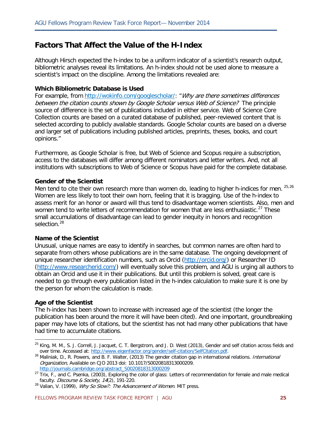### **Factors That Affect the Value of the H-Index**

Although Hirsch expected the h-index to be a uniform indicator of a scientist's research output, bibliometric analyses reveal its limitations. An h-index should not be used alone to measure a scientist's impact on the discipline. Among the limitations revealed are:

**▬▬▬▬▬▬▬▬▬▬▬▬▬▬▬▬▬▬▬▬▬▬▬▬▬▬▬▬▬▬▬▬▬▬▬▬▬▬▬▬▬**

#### **Which Bibliometric Database is Used**

For example, from [http://wokinfo.com/googlescholar/:](http://wokinfo.com/googlescholar/) "Why are there sometimes differences between the citation counts shown by Google Scholar versus Web of Science? The principle source of difference is the set of publications included in either service. Web of Science Core Collection counts are based on a curated database of published, peer-reviewed content that is selected according to publicly available standards. Google Scholar counts are based on a diverse and larger set of publications including published articles, preprints, theses, books, and court opinions."

Furthermore, as Google Scholar is free, but Web of Science and Scopus require a subscription, access to the databases will differ among different nominators and letter writers. And, not all institutions with subscriptions to Web of Science or Scopus have paid for the complete database.

#### **Gender of the Scientist**

Men tend to cite their own research more than women do, leading to higher h-indices for men. [25](#page-24-0),[26](#page-24-1) Women are less likely to toot their own horn, feeling that it is bragging. Use of the h-index to assess merit for an honor or award will thus tend to disadvantage women scientists. Also, men and women tend to write letters of recommendation for women that are less enthusiastic.<sup>[27](#page-24-2)</sup> These small accumulations of disadvantage can lead to gender inequity in honors and recognition selection.<sup>[28](#page-24-3)</sup>

#### **Name of the Scientist**

Unusual, unique names are easy to identify in searches, but common names are often hard to separate from others whose publications are in the same database. The ongoing development of unique researcher identification numbers, such as Orcid [\(http://orcid.org/\)](http://orcid.org/) or Researcher ID [\(http://www.researcherid.com/\)](http://www.researcherid.com/) will eventually solve this problem, and AGU is urging all authors to obtain an Orcid and use it in their publications. But until this problem is solved, great care is needed to go through every publication listed in the h-index calculation to make sure it is one by the person for whom the calculation is made.

#### **Age of the Scientist**

 $\overline{a}$ 

The h-index has been shown to increase with increased age of the scientist (the longer the publication has been around the more it will have been cited). And one important, groundbreaking paper may have lots of citations, but the scientist has not had many other publications that have had time to accumulate citations.

<sup>&</sup>lt;sup>25</sup> King, M. M., S. J. Correll, J. Jacquet, C. T. Bergstrom, and J. D. West (2013), Gender and self citation across fields and

<span id="page-24-1"></span><span id="page-24-0"></span>over time. Accessed at: [http://www.eigenfactor.org/gender/self-citation/SelfCitation.pdf.](http://www.eigenfactor.org/gender/self-citation/SelfCitation.pdf)<br><sup>26</sup> Maliniak, D., R. Powers, and B. F. Walter, (2013) The gender citation gap in international relations. *International* Organization, Available on CJO 2013 doi: 10.1017/S0020818313000209. [http://journals.cambridge.org/abstract\\_S0020818313000209](http://journals.cambridge.org/abstract_S0020818313000209)

<span id="page-24-2"></span><sup>&</sup>lt;sup>27</sup> Trix, F., and C. Psenka, (2003), Exploring the color of glass: Letters of recommendation for female and male medical faculty. *Discourse & Society*,  $14(2)$ , 191-220.

<span id="page-24-3"></span> $^{28}$  Valian, V. (1999), *Why So Slow?: The Advancement of Women.* MIT press.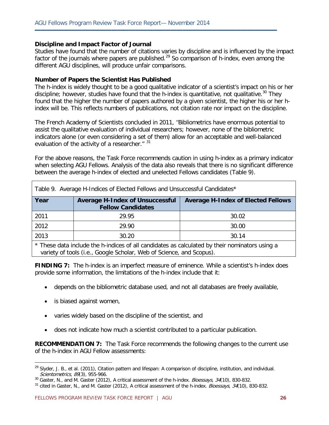#### **Discipline and Impact Factor of Journal**

Studies have found that the number of citations varies by discipline and is influenced by the impact factor of the journals where papers are published.<sup>[29](#page-25-0)</sup> So comparison of h-index, even among the different AGU disciplines, will produce unfair comparisons.

**▬▬▬▬▬▬▬▬▬▬▬▬▬▬▬▬▬▬▬▬▬▬▬▬▬▬▬▬▬▬▬▬▬▬▬▬▬▬▬▬▬**

#### **Number of Papers the Scientist Has Published**

The h-index is widely thought to be a good qualitative indicator of a scientist's impact on his or her discipline; however, studies have found that the h-index is quantitative, not qualitative.<sup>[30](#page-25-1)</sup> They found that the higher the number of papers authored by a given scientist, the higher his or her hindex will be. This reflects numbers of publications, not citation rate nor impact on the discipline.

The French Academy of Scientists concluded in 2011, "Bibliometrics have enormous potential to assist the qualitative evaluation of individual researchers; however, none of the bibliometric indicators alone (or even considering a set of them) allow for an acceptable and well-balanced evaluation of the activity of a researcher." [31](#page-25-2)

For the above reasons, the Task Force recommends caution in using h-index as a primary indicator when selecting AGU Fellows. Analysis of the data also reveals that there is no significant difference between the average h-index of elected and unelected Fellows candidates (Table 9).

Table 9. Average H-Indices of Elected Fellows and Unsuccessful Candidates\*

| Table 7. AVEIQUE IT INGLES OF LIECTED FEIDWS AND UNSUCCESSIBLE CANDIDATES                        |                                                                    |                                           |  |  |  |
|--------------------------------------------------------------------------------------------------|--------------------------------------------------------------------|-------------------------------------------|--|--|--|
| Year                                                                                             | <b>Average H-Index of Unsuccessful</b><br><b>Fellow Candidates</b> | <b>Average H-Index of Elected Fellows</b> |  |  |  |
| 2011                                                                                             | 29.95                                                              | 30.02                                     |  |  |  |
| 2012                                                                                             | 29.90                                                              | 30.00                                     |  |  |  |
| 2013                                                                                             | 30.20                                                              | 30.14                                     |  |  |  |
| $\star$ These detailed the hindices of all condidates as solar lated by their paminators using a |                                                                    |                                           |  |  |  |

These data include the h-indices of all candidates as calculated by their nominators using a variety of tools (i.e., Google Scholar, Web of Science, and Scopus).

**FINDING 7:** The h-index is an imperfect measure of eminence. While a scientist's h-index does provide some information, the limitations of the h-index include that it:

- depends on the bibliometric database used, and not all databases are freely available,
- is biased against women,

 $\overline{a}$ 

- varies widely based on the discipline of the scientist, and
- does not indicate how much a scientist contributed to a particular publication.

**RECOMMENDATION 7:** The Task Force recommends the following changes to the current use of the h-index in AGU Fellow assessments:

<span id="page-25-0"></span><sup>&</sup>lt;sup>29</sup> Slyder, J. B., et al. (2011), Citation pattern and lifespan: A comparison of discipline, institution, and individual. Scientometrics, 89(3), 955-966.

<span id="page-25-2"></span><span id="page-25-1"></span><sup>30</sup> Gaster, N., and M. Gaster (2012), A critical assessment of the h-index. *Bioessays*, 34(10), 830-832.<br><sup>31</sup> cited in Gaster, N., and M. Gaster (2012), A critical assessment of the h-index. *Bioessays*, 34(10), 830-832.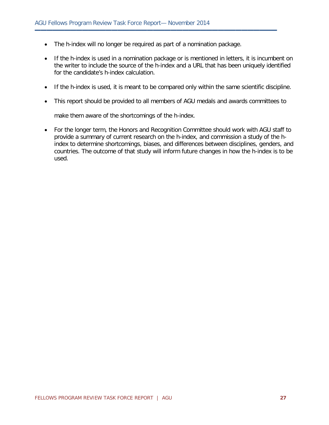• The h-index will no longer be required as part of a nomination package.

**▬▬▬▬▬▬▬▬▬▬▬▬▬▬▬▬▬▬▬▬▬▬▬▬▬▬▬▬▬▬▬▬▬▬▬▬▬▬▬▬▬**

- If the h-index is used in a nomination package or is mentioned in letters, it is incumbent on the writer to include the source of the h-index and a URL that has been uniquely identified for the candidate's h-index calculation.
- If the h-index is used, it is meant to be compared only within the same scientific discipline.
- This report should be provided to all members of AGU medals and awards committees to

make them aware of the shortcomings of the h-index.

• For the longer term, the Honors and Recognition Committee should work with AGU staff to provide a summary of current research on the h-index, and commission a study of the hindex to determine shortcomings, biases, and differences between disciplines, genders, and countries. The outcome of that study will inform future changes in how the h-index is to be used.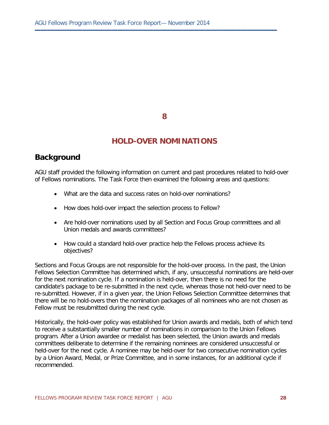**▬▬▬▬▬▬▬▬▬▬▬▬▬▬▬▬▬▬▬▬▬▬▬▬▬▬▬▬▬▬▬▬▬▬▬▬▬▬▬▬▬**

#### **HOLD-OVER NOMINATIONS**

### **Background**

AGU staff provided the following information on current and past procedures related to hold-over of Fellows nominations. The Task Force then examined the following areas and questions:

- What are the data and success rates on hold-over nominations?
- How does hold-over impact the selection process to Fellow?
- Are hold-over nominations used by all Section and Focus Group committees and all Union medals and awards committees?
- How could a standard hold-over practice help the Fellows process achieve its objectives?

Sections and Focus Groups are not responsible for the hold-over process. In the past, the Union Fellows Selection Committee has determined which, if any, unsuccessful nominations are held-over for the next nomination cycle. If a nomination is held-over, then there is no need for the candidate's package to be re-submitted in the next cycle, whereas those not held-over need to be re-submitted. However, if in a given year, the Union Fellows Selection Committee determines that there will be no hold-overs then the nomination packages of all nominees who are not chosen as Fellow must be resubmitted during the next cycle.

Historically, the hold-over policy was established for Union awards and medals, both of which tend to receive a substantially smaller number of nominations in comparison to the Union Fellows program. After a Union awardee or medalist has been selected, the Union awards and medals committees deliberate to determine if the remaining nominees are considered unsuccessful or held-over for the next cycle. A nominee may be held-over for two consecutive nomination cycles by a Union Award, Medal, or Prize Committee, and in some instances, for an additional cycle if recommended.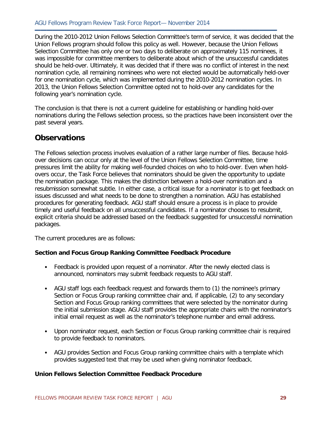During the 2010-2012 Union Fellows Selection Committee's term of service, it was decided that the Union Fellows program should follow this policy as well. However, because the Union Fellows Selection Committee has only one or two days to deliberate on approximately 115 nominees, it was impossible for committee members to deliberate about which of the unsuccessful candidates should be held-over. Ultimately, it was decided that if there was no conflict of interest in the next nomination cycle, all remaining nominees who were not elected would be automatically held-over for one nomination cycle, which was implemented during the 2010-2012 nomination cycles. In 2013, the Union Fellows Selection Committee opted not to hold-over any candidates for the following year's nomination cycle.

**▬▬▬▬▬▬▬▬▬▬▬▬▬▬▬▬▬▬▬▬▬▬▬▬▬▬▬▬▬▬▬▬▬▬▬▬▬▬▬▬▬**

The conclusion is that there is not a current guideline for establishing or handling hold-over nominations during the Fellows selection process, so the practices have been inconsistent over the past several years.

### **Observations**

The Fellows selection process involves evaluation of a rather large number of files. Because holdover decisions can occur only at the level of the Union Fellows Selection Committee, time pressures limit the ability for making well-founded choices on who to hold-over. Even when holdovers occur, the Task Force believes that nominators should be given the opportunity to update the nomination package. This makes the distinction between a hold-over nomination and a resubmission somewhat subtle. In either case, a critical issue for a nominator is to get feedback on issues discussed and what needs to be done to strengthen a nomination. AGU has established procedures for generating feedback. AGU staff should ensure a process is in place to provide timely and useful feedback on all unsuccessful candidates. If a nominator chooses to resubmit, explicit criteria should be addressed based on the feedback suggested for unsuccessful nomination packages.

The current procedures are as follows:

#### **Section and Focus Group Ranking Committee Feedback Procedure**

- Feedback is provided upon request of a nominator. After the newly elected class is announced, nominators may submit feedback requests to AGU staff.
- AGU staff logs each feedback request and forwards them to (1) the nominee's primary Section or Focus Group ranking committee chair and, if applicable, (2) to any secondary Section and Focus Group ranking committees that were selected by the nominator during the initial submission stage. AGU staff provides the appropriate chairs with the nominator's initial email request as well as the nominator's telephone number and email address.
- Upon nominator request, each Section or Focus Group ranking committee chair is required to provide feedback to nominators.
- AGU provides Section and Focus Group ranking committee chairs with a template which provides suggested text that may be used when giving nominator feedback.

#### **Union Fellows Selection Committee Feedback Procedure**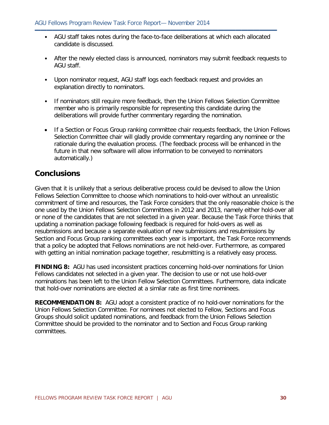• AGU staff takes notes during the face-to-face deliberations at which each allocated candidate is discussed.

**▬▬▬▬▬▬▬▬▬▬▬▬▬▬▬▬▬▬▬▬▬▬▬▬▬▬▬▬▬▬▬▬▬▬▬▬▬▬▬▬▬**

- After the newly elected class is announced, nominators may submit feedback requests to AGU staff.
- Upon nominator request, AGU staff logs each feedback request and provides an explanation directly to nominators.
- If nominators still require more feedback, then the Union Fellows Selection Committee member who is primarily responsible for representing this candidate during the deliberations will provide further commentary regarding the nomination.
- If a Section or Focus Group ranking committee chair requests feedback, the Union Fellows Selection Committee chair will gladly provide commentary regarding any nominee or the rationale during the evaluation process. (The feedback process will be enhanced in the future in that new software will allow information to be conveyed to nominators automatically.)

### **Conclusions**

Given that it is unlikely that a serious deliberative process could be devised to allow the Union Fellows Selection Committee to choose which nominations to hold-over without an unrealistic commitment of time and resources, the Task Force considers that the only reasonable choice is the one used by the Union Fellows Selection Committees in 2012 and 2013, namely either hold-over all or none of the candidates that are not selected in a given year. Because the Task Force thinks that updating a nomination package following feedback is required for hold-overs as well as resubmissions and because a separate evaluation of new submissions and resubmissions by Section and Focus Group ranking committees each year is important, the Task Force recommends that a policy be adopted that Fellows nominations are not held-over. Furthermore, as compared with getting an initial nomination package together, resubmitting is a relatively easy process.

**FINDING 8:** AGU has used inconsistent practices concerning hold-over nominations for Union Fellows candidates not selected in a given year. The decision to use or not use hold-over nominations has been left to the Union Fellow Selection Committees. Furthermore, data indicate that hold-over nominations are elected at a similar rate as first time nominees.

**RECOMMENDATION 8:** AGU adopt a consistent practice of no hold-over nominations for the Union Fellows Selection Committee. For nominees not elected to Fellow, Sections and Focus Groups should solicit updated nominations, and feedback from the Union Fellows Selection Committee should be provided to the nominator and to Section and Focus Group ranking committees.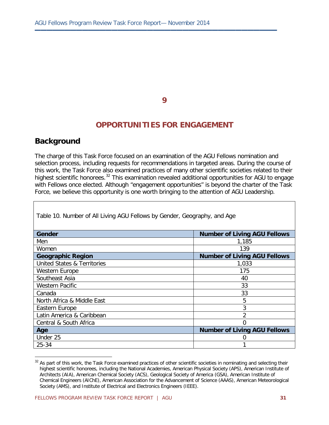**▬▬▬▬▬▬▬▬▬▬▬▬▬▬▬▬▬▬▬▬▬▬▬▬▬▬▬▬▬▬▬▬▬▬▬▬▬▬▬▬▬**

#### **OPPORTUNITIES FOR ENGAGEMENT**

#### **Background**

 $\overline{a}$ 

The charge of this Task Force focused on an examination of the AGU Fellows nomination and selection process, including requests for recommendations in targeted areas. During the course of this work, the Task Force also examined practices of many other scientific societies related to their highest scientific honorees.<sup>[32](#page-30-0)</sup> This examination revealed additional opportunities for AGU to engage with Fellows once elected. Although "engagement opportunities" is beyond the charter of the Task Force, we believe this opportunity is one worth bringing to the attention of AGU Leadership.

| Gender                                 | <b>Number of Living AGU Fellows</b> |
|----------------------------------------|-------------------------------------|
| Men                                    | 1,185                               |
| Women                                  | 139                                 |
| <b>Geographic Region</b>               | <b>Number of Living AGU Fellows</b> |
| <b>United States &amp; Territories</b> | 1,033                               |
| Western Europe                         | 175                                 |
| Southeast Asia                         | 40                                  |
| <b>Western Pacific</b>                 | 33                                  |
| Canada                                 | 33                                  |
| North Africa & Middle East             | 5                                   |
| Eastern Europe                         | 3                                   |
| Latin America & Caribbean              | $\mathfrak{D}$                      |
| Central & South Africa                 | U                                   |
| Age                                    | <b>Number of Living AGU Fellows</b> |
| Under 25                               |                                     |
| 25-34                                  |                                     |

Table 10. Number of All Living AGU Fellows by Gender, Geography, and Age

<span id="page-30-0"></span><sup>&</sup>lt;sup>32</sup> As part of this work, the Task Force examined practices of other scientific societies in nominating and selecting their highest scientific honorees, including the National Academies, American Physical Society (APS), American Institute of Architects (AIA), American Chemical Society (ACS), Geological Society of America (GSA), American Institute of Chemical Engineers (AIChE), American Association for the Advancement of Science (AAAS), American Meteorological Society (AMS), and Institute of Electrical and Electronics Engineers (IEEE).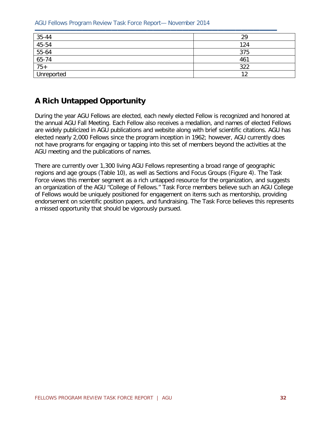AGU Fellows Program Review Task Force Report— November 2014

| $\frac{35-44}{45-54}$ $\frac{55-64}{65-74}$ | 29         |
|---------------------------------------------|------------|
|                                             | 124        |
|                                             | 375        |
|                                             | 461        |
|                                             | 322        |
| Unreported                                  | $\sqrt{2}$ |

### **A Rich Untapped Opportunity**

During the year AGU Fellows are elected, each newly elected Fellow is recognized and honored at the annual AGU Fall Meeting. Each Fellow also receives a medallion, and names of elected Fellows are widely publicized in AGU publications and website along with brief scientific citations. AGU has elected nearly 2,000 Fellows since the program inception in 1962; however, AGU currently does not have programs for engaging or tapping into this set of members beyond the activities at the AGU meeting and the publications of names.

There are currently over 1,300 living AGU Fellows representing a broad range of geographic regions and age groups (Table 10), as well as Sections and Focus Groups (Figure 4). The Task Force views this member segment as a rich untapped resource for the organization, and suggests an organization of the AGU "College of Fellows." Task Force members believe such an AGU College of Fellows would be uniquely positioned for engagement on items such as mentorship, providing endorsement on scientific position papers, and fundraising. The Task Force believes this represents a missed opportunity that should be vigorously pursued.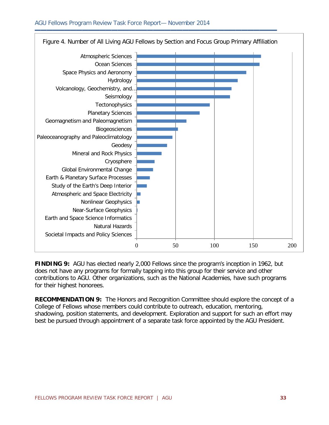

**FINDING 9:** AGU has elected nearly 2,000 Fellows since the program's inception in 1962, but does not have any programs for formally tapping into this group for their service and other contributions to AGU. Other organizations, such as the National Academies, have such programs for their highest honorees.

**RECOMMENDATION 9:** The Honors and Recognition Committee should explore the concept of a College of Fellows whose members could contribute to outreach, education, mentoring, shadowing, position statements, and development. Exploration and support for such an effort may best be pursued through appointment of a separate task force appointed by the AGU President.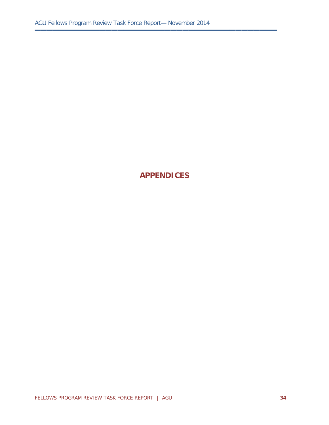**▬▬▬▬▬▬▬▬▬▬▬▬▬▬▬▬▬▬▬▬▬▬▬▬▬▬▬▬▬▬▬▬▬▬▬▬▬▬▬▬▬**

### **APPENDICES**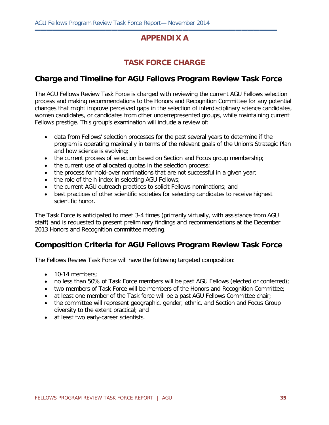### **APPENDIX A**

**▬▬▬▬▬▬▬▬▬▬▬▬▬▬▬▬▬▬▬▬▬▬▬▬▬▬▬▬▬▬▬▬▬▬▬▬▬▬▬▬▬**

### **TASK FORCE CHARGE**

### **Charge and Timeline for AGU Fellows Program Review Task Force**

The AGU Fellows Review Task Force is charged with reviewing the current AGU Fellows selection process and making recommendations to the Honors and Recognition Committee for any potential changes that might improve perceived gaps in the selection of interdisciplinary science candidates, women candidates, or candidates from other underrepresented groups, while maintaining current Fellows prestige. This group's examination will include a review of:

- data from Fellows' selection processes for the past several years to determine if the program is operating maximally in terms of the relevant goals of the Union's Strategic Plan and how science is evolving;
- the current process of selection based on Section and Focus group membership;
- the current use of allocated quotas in the selection process;
- the process for hold-over nominations that are not successful in a given year;
- the role of the h-index in selecting AGU Fellows;
- the current AGU outreach practices to solicit Fellows nominations; and
- best practices of other scientific societies for selecting candidates to receive highest scientific honor.

The Task Force is anticipated to meet 3-4 times (primarily virtually, with assistance from AGU staff) and is requested to present preliminary findings and recommendations at the December 2013 Honors and Recognition committee meeting.

### **Composition Criteria for AGU Fellows Program Review Task Force**

The Fellows Review Task Force will have the following targeted composition:

- 10-14 members:
- no less than 50% of Task Force members will be past AGU Fellows (elected or conferred);
- two members of Task Force will be members of the Honors and Recognition Committee;
- at least one member of the Task force will be a past AGU Fellows Committee chair;
- the committee will represent geographic, gender, ethnic, and Section and Focus Group diversity to the extent practical; and
- at least two early-career scientists.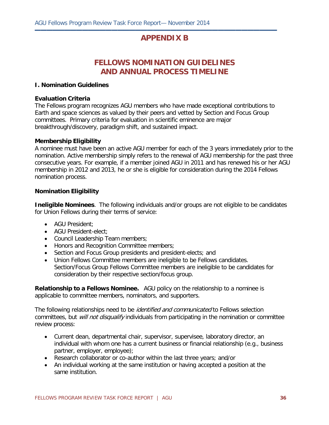### **APPENDIX B**

**▬▬▬▬▬▬▬▬▬▬▬▬▬▬▬▬▬▬▬▬▬▬▬▬▬▬▬▬▬▬▬▬▬▬▬▬▬▬▬▬▬**

### **FELLOWS NOMINATION GUIDELINES AND ANNUAL PROCESS TIMELINE**

#### **I. Nomination Guidelines**

#### **Evaluation Criteria**

The Fellows program recognizes AGU members who have made exceptional contributions to Earth and space sciences as valued by their peers and vetted by Section and Focus Group committees. Primary criteria for evaluation in scientific eminence are major breakthrough/discovery, paradigm shift, and sustained impact.

#### **Membership Eligibility**

A nominee must have been an active AGU member for each of the 3 years immediately prior to the nomination. Active membership simply refers to the renewal of AGU membership for the past three consecutive years. For example, if a member joined AGU in 2011 and has renewed his or her AGU membership in 2012 and 2013, he or she is eligible for consideration during the 2014 Fellows nomination process.

#### **Nomination Eligibility**

**Ineligible Nominees**. The following individuals and/or groups are not eligible to be candidates for Union Fellows during their terms of service:

- AGU President;
- AGU President-elect;
- Council Leadership Team members;
- Honors and Recognition Committee members;
- Section and Focus Group presidents and president-elects; and
- Union Fellows Committee members are ineligible to be Fellows candidates. Section/Focus Group Fellows Committee members are ineligible to be candidates for consideration by their respective section/focus group.

**Relationship to a Fellows Nominee.** AGU policy on the relationship to a nominee is applicable to committee members, nominators, and supporters.

The following relationships need to be *identified and communicated* to Fellows selection committees, but *will not disqualify* individuals from participating in the nomination or committee review process:

- Current dean, departmental chair, supervisor, supervisee, laboratory director, an individual with whom one has a current business or financial relationship (e.g., business partner, employer, employee);
- Research collaborator or co-author within the last three years; and/or
- An individual working at the same institution or having accepted a position at the same institution.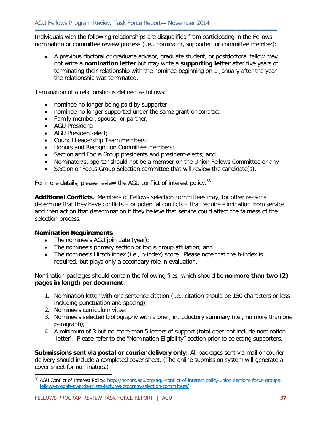**▬▬▬▬▬▬▬▬▬▬▬▬▬▬▬▬▬▬▬▬▬▬▬▬▬▬▬▬▬▬▬▬▬▬▬▬▬▬▬▬▬** Individuals with the following relationships are disqualified from participating in the Fellows nomination or committee review process (i.e., nominator, supporter, or committee member):

• A previous doctoral or graduate advisor, graduate student, or postdoctoral fellow may not write a **nomination letter** but may write a **supporting letter** after five years of terminating their relationship with the nominee beginning on 1 January after the year the relationship was terminated.

Termination of a relationship is defined as follows:

- nominee no longer being paid by supporter
- nominee no longer supported under the same grant or contract
- Family member, spouse, or partner;
- AGU President;
- AGU President-elect;
- Council Leadership Team members;
- Honors and Recognition Committee members;
- Section and Focus Group presidents and president-elects; and
- Nominator/supporter should not be a member on the Union Fellows Committee or any
- Section or Focus Group Selection committee that will review the candidate(s).

For more details, please review the AGU conflict of interest policy.<sup>[33](#page-36-0)</sup>

**Additional Conflicts.** Members of Fellows selection committees may, for other reasons, determine that they have conflicts – or potential conflicts – that require elimination from service and then act on that determination if they believe that service could affect the fairness of the selection process.

#### **Nomination Requirements**

- The nominee's AGU join date (year);
- The nominee's primary section or focus group affiliation; and
- The nominee's Hirsch index (i.e., h-index) score. Please note that the h-index is required, but plays only a secondary role in evaluation.

Nomination packages should contain the following files, which should be **no more than two (2) pages in length per document**:

- 1. Nomination letter with one sentence citation (i.e., citation should be 150 characters or less including punctuation and spacing);
- 2. Nominee's curriculum vitae;

 $\overline{a}$ 

- 3. Nominee's selected bibliography with a brief, introductory summary (i.e., no more than one paragraph);
- 4. A minimum of 3 but no more than 5 letters of support (total does not include nomination letter). Please refer to the "Nomination Eligibility" section prior to selecting supporters.

**Submissions sent via postal or courier delivery only:** All packages sent via mail or courier delivery should include a completed cover sheet. (The online submission system will generate a cover sheet for nominators.)

<span id="page-36-0"></span><sup>33</sup> AGU Conflict of Interest Policy: [http://honors.agu.org/agu-conflict-of-interest-policy-union-sections-focus-groups](http://honors.agu.org/agu-conflict-of-interest-policy-union-sections-focus-groups-fellows-medals-awards-prizes-lectures-program-selection-committees/)[fellows-medals-awards-prizes-lectures-program-selection-committees/](http://honors.agu.org/agu-conflict-of-interest-policy-union-sections-focus-groups-fellows-medals-awards-prizes-lectures-program-selection-committees/)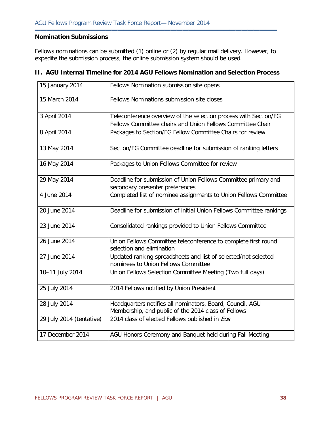#### **Nomination Submissions**

Fellows nominations can be submitted (1) online or (2) by regular mail delivery. However, to expedite the submission process, the online submission system should be used.

**▬▬▬▬▬▬▬▬▬▬▬▬▬▬▬▬▬▬▬▬▬▬▬▬▬▬▬▬▬▬▬▬▬▬▬▬▬▬▬▬▬**

| 15 January 2014          | Fellows Nomination submission site opens                                                              |  |  |  |  |
|--------------------------|-------------------------------------------------------------------------------------------------------|--|--|--|--|
| 15 March 2014            | Fellows Nominations submission site closes                                                            |  |  |  |  |
| 3 April 2014             | Teleconference overview of the selection process with Section/FG                                      |  |  |  |  |
|                          | Fellows Committee chairs and Union Fellows Committee Chair                                            |  |  |  |  |
| 8 April 2014             | Packages to Section/FG Fellow Committee Chairs for review                                             |  |  |  |  |
| 13 May 2014              | Section/FG Committee deadline for submission of ranking letters                                       |  |  |  |  |
| 16 May 2014              | Packages to Union Fellows Committee for review                                                        |  |  |  |  |
| 29 May 2014              | Deadline for submission of Union Fellows Committee primary and                                        |  |  |  |  |
|                          | secondary presenter preferences                                                                       |  |  |  |  |
| 4 June 2014              | Completed list of nominee assignments to Union Fellows Committee                                      |  |  |  |  |
| 20 June 2014             | Deadline for submission of initial Union Fellows Committee rankings                                   |  |  |  |  |
| 23 June 2014             | Consolidated rankings provided to Union Fellows Committee                                             |  |  |  |  |
| 26 June 2014             | Union Fellows Committee teleconference to complete first round<br>selection and elimination           |  |  |  |  |
| 27 June 2014             | Updated ranking spreadsheets and list of selected/not selected<br>nominees to Union Fellows Committee |  |  |  |  |
| 10-11 July 2014          | Union Fellows Selection Committee Meeting (Two full days)                                             |  |  |  |  |
| 25 July 2014             | 2014 Fellows notified by Union President                                                              |  |  |  |  |
| 28 July 2014             | Headquarters notifies all nominators, Board, Council, AGU                                             |  |  |  |  |
|                          | Membership, and public of the 2014 class of Fellows                                                   |  |  |  |  |
| 29 July 2014 (tentative) | 2014 class of elected Fellows published in Eos                                                        |  |  |  |  |
| 17 December 2014         | AGU Honors Ceremony and Banquet held during Fall Meeting                                              |  |  |  |  |

#### **II. AGU Internal Timeline for 2014 AGU Fellows Nomination and Selection Process**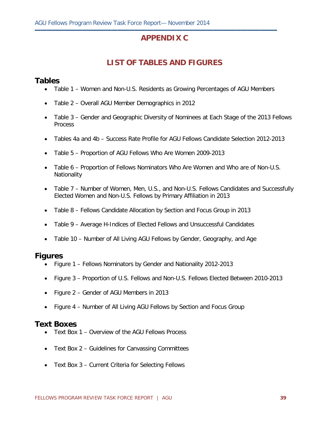### **APPENDIX C**

**▬▬▬▬▬▬▬▬▬▬▬▬▬▬▬▬▬▬▬▬▬▬▬▬▬▬▬▬▬▬▬▬▬▬▬▬▬▬▬▬▬**

### **LIST OF TABLES AND FIGURES**

### **Tables**

- Table 1 Women and Non-U.S. Residents as Growing Percentages of AGU Members
- Table 2 Overall AGU Member Demographics in 2012
- Table 3 Gender and Geographic Diversity of Nominees at Each Stage of the 2013 Fellows Process
- Tables 4a and 4b Success Rate Profile for AGU Fellows Candidate Selection 2012-2013
- Table 5 Proportion of AGU Fellows Who Are Women 2009-2013
- Table 6 Proportion of Fellows Nominators Who Are Women and Who are of Non-U.S. **Nationality**
- Table 7 Number of Women, Men, U.S., and Non-U.S. Fellows Candidates and Successfully Elected Women and Non-U.S. Fellows by Primary Affiliation in 2013
- Table 8 Fellows Candidate Allocation by Section and Focus Group in 2013
- Table 9 Average H-Indices of Elected Fellows and Unsuccessful Candidates
- Table 10 Number of All Living AGU Fellows by Gender, Geography, and Age

#### **Figures**

- Figure 1 Fellows Nominators by Gender and Nationality 2012-2013
- Figure 3 Proportion of U.S. Fellows and Non-U.S. Fellows Elected Between 2010-2013
- Figure 2 Gender of AGU Members in 2013
- Figure 4 Number of All Living AGU Fellows by Section and Focus Group

#### **Text Boxes**

- Text Box 1 Overview of the AGU Fellows Process
- Text Box 2 Guidelines for Canvassing Committees
- Text Box 3 Current Criteria for Selecting Fellows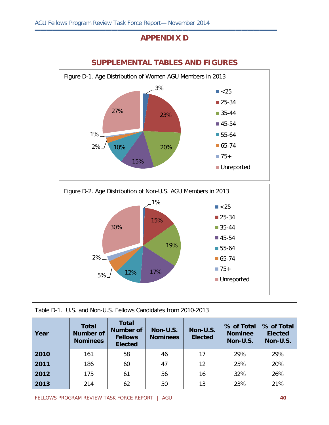### **APPENDIX D**

**▬▬▬▬▬▬▬▬▬▬▬▬▬▬▬▬▬▬▬▬▬▬▬▬▬▬▬▬▬▬▬▬▬▬▬▬▬▬▬▬▬**



### **SUPPLEMENTAL TABLES AND FIGURES**



| Table D-1. U.S. and Non-U.S. Fellows Candidates from 2010-2013 |                                                     |                                                        |                             |                            |                                          |                                          |  |  |
|----------------------------------------------------------------|-----------------------------------------------------|--------------------------------------------------------|-----------------------------|----------------------------|------------------------------------------|------------------------------------------|--|--|
| Year                                                           | <b>Total</b><br><b>Number of</b><br><b>Nominees</b> | Total<br>Number of<br><b>Fellows</b><br><b>Elected</b> | Non-U.S.<br><b>Nominees</b> | Non-U.S.<br><b>Elected</b> | % of Total<br><b>Nominee</b><br>Non-U.S. | % of Total<br><b>Elected</b><br>Non-U.S. |  |  |
| 2010                                                           | 161                                                 | 58                                                     | 46                          | 17                         | 29%                                      | 29%                                      |  |  |
| 2011                                                           | 186                                                 | 60                                                     | 47                          | 12                         | 25%                                      | 20%                                      |  |  |
| 2012                                                           | 175                                                 | 61                                                     | 56                          | 16                         | 32%                                      | 26%                                      |  |  |
| 2013                                                           | 214                                                 | 62                                                     | 50                          | 13                         | 23%                                      | 21%                                      |  |  |